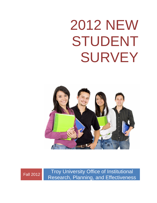## 2012 NEW STUDENT SURVEY





Fall 2012 Troy University Office of Institutional Research, Planning, and Effectiveness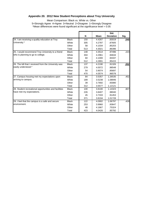# **Appendix 20. 2012 New Student Perceptions about Troy University**

| 5=Strongly Agree 4=Agree 3=Neutral 2=Disagree 1=Strongly Disagree<br>*Mean differences were found significant at the significance level = 0.05<br>24. I am receiving a quality education at Troy<br>University.*<br>25. I would recommend Troy University to a friend<br>who is planning to go to college. | <b>Black</b><br>White<br>Other<br>Total | N<br>150<br>305 | Mean<br>4.4267   | Std.<br><b>Deviation</b> |      |
|------------------------------------------------------------------------------------------------------------------------------------------------------------------------------------------------------------------------------------------------------------------------------------------------------------|-----------------------------------------|-----------------|------------------|--------------------------|------|
|                                                                                                                                                                                                                                                                                                            |                                         |                 |                  |                          |      |
|                                                                                                                                                                                                                                                                                                            |                                         |                 |                  |                          |      |
|                                                                                                                                                                                                                                                                                                            |                                         |                 |                  |                          | Sig. |
|                                                                                                                                                                                                                                                                                                            |                                         |                 |                  | .83019                   | .040 |
|                                                                                                                                                                                                                                                                                                            |                                         |                 | 4.2787           | .87605                   |      |
|                                                                                                                                                                                                                                                                                                            |                                         | 58              | 4.1034           | .85203                   |      |
|                                                                                                                                                                                                                                                                                                            |                                         | 513             | 4.3021           | .86396                   |      |
|                                                                                                                                                                                                                                                                                                            | <b>Black</b>                            | 148             | 4.3514           | .97496                   | .223 |
|                                                                                                                                                                                                                                                                                                            | White<br>Other                          | 304<br>60       | 4.2961<br>4.1000 | .94634<br>.93337         |      |
|                                                                                                                                                                                                                                                                                                            | Total                                   | 512             | 4.2891           | .95415                   |      |
| 26. The bill that I received from the University was                                                                                                                                                                                                                                                       | <b>Black</b>                            | 137             | 4.2190           | .91326                   | .052 |
| easily understood.*                                                                                                                                                                                                                                                                                        | White                                   | 279             | 4.0072           | .98548                   |      |
|                                                                                                                                                                                                                                                                                                            | Other                                   | 54              | 3.9074           | .95697                   |      |
|                                                                                                                                                                                                                                                                                                            | Total                                   | 470             | 4.0574           | .96578                   |      |
| 27. Campus housing met my expectations upon                                                                                                                                                                                                                                                                | <b>Black</b>                            | 84              | 3.5357           | 1.26535                  | .452 |
| arriving to campus.                                                                                                                                                                                                                                                                                        | White                                   | 189             | 3.5238           | 1.08946                  |      |
|                                                                                                                                                                                                                                                                                                            | Other                                   | 39              | 3.7692           | .93080                   |      |
|                                                                                                                                                                                                                                                                                                            | Total                                   | 312             | 3.5577           | 1.12121                  |      |
| 28. Student recreational opportunities and facilities                                                                                                                                                                                                                                                      | <b>Black</b>                            | 100             | 3.8100           | 1.14323                  | .807 |
| have met my expectations.                                                                                                                                                                                                                                                                                  | White                                   | 226             | 3.8407           | .98040                   |      |
|                                                                                                                                                                                                                                                                                                            | Other                                   | 45              | 3.7333           | .91453                   |      |
|                                                                                                                                                                                                                                                                                                            | Total                                   | 371             | 3.8194           | 1.01728                  |      |
| 29. I feel that the campus is a safe and secure                                                                                                                                                                                                                                                            | <b>Black</b>                            | 122             | 4.0902           | 1.06797                  | .428 |
| environment.                                                                                                                                                                                                                                                                                               | White                                   | 253             | 3.9960           | .93647                   |      |
|                                                                                                                                                                                                                                                                                                            | Other                                   | 48              | 4.1667           | .75324                   |      |
|                                                                                                                                                                                                                                                                                                            | Total                                   | 423             | 4.0426           | .95792                   |      |
|                                                                                                                                                                                                                                                                                                            |                                         |                 |                  |                          |      |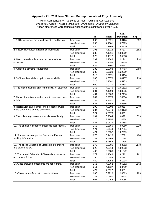### **Appendix 21. 2012 New Student Perceptions about Troy University**

| Mean Comparison: ** Traditional vs. Non-Traditional Age Students<br>5=Strongly Agree 4=Agree 3=Neutral 2=Disagree 1=Strongly Disagree<br>*Mean differences were found significant at the significance level = 0.05 |                                |            |                  |                          |      |
|--------------------------------------------------------------------------------------------------------------------------------------------------------------------------------------------------------------------|--------------------------------|------------|------------------|--------------------------|------|
|                                                                                                                                                                                                                    |                                | N          | Mean             | Std.<br><b>Deviation</b> | Sig. |
| 1. TROY personnel are knowledgeable and helpful.                                                                                                                                                                   | Traditional                    | 292        | 4.2021<br>4.1681 | .83126                   | .682 |
|                                                                                                                                                                                                                    | Non-Traditional<br>Total       | 238<br>530 | 4.1868           | 1.07773<br>.94909        |      |
| 2. Faculty care about students as individuals.                                                                                                                                                                     | Traditional                    | 291        | 4.1718           | .87377                   | .582 |
|                                                                                                                                                                                                                    | Non-Traditional                | 238        | 4.1261           | 1.03569                  |      |
|                                                                                                                                                                                                                    | Total                          | 529        | 4.1512           | .94938                   |      |
| 3. I feel I can talk to faculty about my academic                                                                                                                                                                  | Traditional                    | 291        | 4.1649           | .91742                   | .914 |
| concerns.                                                                                                                                                                                                          | Non-Traditional                | 238        | 4.1555           | 1.10855                  |      |
|                                                                                                                                                                                                                    | Total                          | 529        | 4.1607           | 1.00693                  |      |
| 4. Academic advising is adequate.                                                                                                                                                                                  | Traditional                    | 283        | 3.9788           | .97463                   | .788 |
|                                                                                                                                                                                                                    | Non-Traditional                | 233        | 3.9528           | 1.22559                  |      |
|                                                                                                                                                                                                                    | Total                          | 516        | 3.9671           | 1.09406                  |      |
| 5. Sufficient financial aid options are available.                                                                                                                                                                 | Traditional                    | 285        | 4.0070           | 1.04137<br>1.05153       | .110 |
|                                                                                                                                                                                                                    | Non-Traditional<br>Total       | 215<br>500 | 4.1581<br>4.0720 | 1.04738                  |      |
| 6. The tuition payment plan is beneficial for students.                                                                                                                                                            | Traditional                    | 263        | 4.0076           | 1.01512                  | .205 |
|                                                                                                                                                                                                                    | Non-Traditional                | 201        | 4.1294           | 1.03595                  |      |
|                                                                                                                                                                                                                    | Total                          | 464        | 4.0603           | 1.02486                  |      |
| 7. Class information provided prior to enrollment was                                                                                                                                                              | Traditional                    | 287        | 3.7979           | .98286                   | .105 |
| helpful.                                                                                                                                                                                                           | Non-Traditional                | 234        | 3.9487           | 1.13732                  |      |
|                                                                                                                                                                                                                    | Total                          | 521        | 3.8656           | 1.05666                  |      |
| 8. Registration dates, times, and procedures were                                                                                                                                                                  | Traditional                    | 290        | 4.0103           | 1.00684                  | .949 |
| made clear to me prior to enrollment.                                                                                                                                                                              | Non-Traditional                | 234        | 4.0043           | 1.18103                  |      |
|                                                                                                                                                                                                                    | Total                          | 524        | 4.0076           | 1.08701                  |      |
| 9. The online registration process is user-friendly.                                                                                                                                                               | Traditional                    | 261        | 3.9004           | 1.00271                  | .333 |
|                                                                                                                                                                                                                    | Non-Traditional                | 220        | 3.9955           | 1.14874                  |      |
| 10. The on-site registration process is user-friendly.                                                                                                                                                             | Total                          | 481        | 3.9439           | 1.07188                  | .329 |
|                                                                                                                                                                                                                    | Traditional<br>Non-Traditional | 253<br>171 | 3.8656<br>3.9649 | .99089<br>1.07864        |      |
|                                                                                                                                                                                                                    | Total                          | 424        | 3.9057           | 1.02709                  |      |
| 11. Students seldom get the "run around" when                                                                                                                                                                      | Traditional                    | 276        | 3.4420           | 1.17871                  | .404 |
| seeking information.                                                                                                                                                                                               | Non-Traditional                | 231        | 3.5368           | 1.37594                  |      |
|                                                                                                                                                                                                                    | Total                          | 507        | 3.4852           | 1.27195                  |      |
| 12. The online Schedule of Classes is informative                                                                                                                                                                  | Traditional                    | 272        | 3.9081           | .93852                   | .178 |
| and easy to follow.                                                                                                                                                                                                | Non-Traditional                | 223        | 4.0314           | 1.09623                  |      |
|                                                                                                                                                                                                                    | Total                          | 495        | 3.9636           | 1.01342                  |      |
| 13. The printed Schedule of Classes is informative                                                                                                                                                                 | Traditional                    | 279        | 4.1649           | .82762                   | .261 |
| and easy to follow.                                                                                                                                                                                                | Non-Traditional                | 190        | 4.0684           | 1.02382                  |      |
|                                                                                                                                                                                                                    | Total                          | 469        | 4.1258           | .91238                   |      |
| 14. Class drop/add procedures are appropriate.                                                                                                                                                                     | Traditional                    | 266        | 4.0752           | .86982                   | .642 |
|                                                                                                                                                                                                                    | Non-Traditional<br>Total       | 211<br>477 | 4.1137<br>4.0922 | .93419<br>.89811         |      |
| 15. Classes are offered at convenient times.                                                                                                                                                                       | Traditional                    | 286        | 3.9720           | .96569                   | .183 |
|                                                                                                                                                                                                                    | Non-Traditional                | 221        | 4.0950           | 1.10578                  |      |
|                                                                                                                                                                                                                    | Total                          | 507        | 4.0256           | 1.02986                  |      |
|                                                                                                                                                                                                                    |                                |            |                  |                          |      |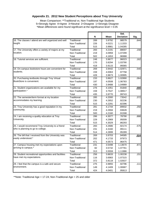### **Appendix 21. 2012 New Student Perceptions about Troy University**

|                                                                                    |                                | N          | Mean             | Std.<br><b>Deviation</b> | Sig. |
|------------------------------------------------------------------------------------|--------------------------------|------------|------------------|--------------------------|------|
| 16. The classes I attend are well organized and well                               | Traditional                    | 289        | 3.9792           | .98579                   | .644 |
| taught.                                                                            | Non-Traditional                | 226        | 4.0221           | 1.11333                  |      |
|                                                                                    | Total                          | 515        | 3.9981           | 1.04285                  |      |
| 17. The University offers a variety of majors at my                                | Traditional                    | 283        | 4.2191           | .88007                   | .158 |
| location.                                                                          | Non-Traditional                | 219        | 4.0959           | 1.07299                  |      |
| 18. Tutorial services are sufficient.                                              | Total                          | 502        | 4.1653           | .96988                   |      |
|                                                                                    | Traditional<br>Non-Traditional | 248<br>170 | 3.9677<br>3.8294 | .96023<br>1.03790        | .162 |
|                                                                                    | Total                          | 418        | 3.9115           | .99365                   |      |
| 19. On-campus bookstore hours are convenient for                                   | Traditional                    | 269        | 3.9442           | 1.02971                  | .540 |
| students.                                                                          | Non-Traditional                | 159        | 4.0063           | .97758                   |      |
|                                                                                    | Total                          | 428        | 3.9673           | 1.00995                  |      |
| 20. Purchasing textbooks through Troy Virtual<br>BookStore is convenient.          | Traditional                    | 233        | 3.8627           | 1.02890                  | .064 |
|                                                                                    | Non-Traditional                | 197        | 4.0508           | 1.06783                  |      |
|                                                                                    | Total                          | 430        | 3.9488           | 1.04989                  |      |
| 21. Student organizations are available for my<br>participation.*                  | Traditional                    | 276        | 4.1051           | .91840                   | .000 |
|                                                                                    | Non-Traditional<br>Total       | 159<br>435 | 3.7547           | 1.08917<br>.99743        |      |
| 22. The semester/term format at my location                                        | Traditional                    | 285        | 3.9770<br>4.2000 | .73542                   | .372 |
| accommodates my learning.                                                          | Non-Traditional                | 230        | 4.2652           | .92236                   |      |
|                                                                                    | Total                          | 515        | 4.2291           | .82396                   |      |
| 23. Troy University has a good reputation in my                                    | Traditional                    | 281        | 4.1744           | .89932                   | .250 |
| community.                                                                         | Non-Traditional                | 219        | 4.2694           | .93628                   |      |
|                                                                                    | Total                          | 500        | 4.2160           | .91598                   |      |
| 24. I am receiving a quality education at Troy                                     | Traditional                    | 286        | 4.3077           | .78790                   | .888 |
| University.                                                                        | Non-Traditional                | 229        | 4.2969           | .95009                   |      |
| 25. I would recommend Troy University to a friend                                  | Total                          | 515        | 4.3029           | .86293                   |      |
| who is planning to go to college.                                                  | Traditional<br>Non-Traditional | 283<br>231 | 4.2686<br>4.3160 | .92174<br>.99111         | .575 |
|                                                                                    | Total                          | 514        | 4.2899           | .95289                   |      |
| 26. The bill that I received from the University was                               | Traditional                    | 269        | 3.9703           | .94585                   | .024 |
| easily understood.*                                                                | Non-Traditional                | 202        | 4.1733           | .97973                   |      |
|                                                                                    | Total                          | 471        | 4.0573           | .96475                   |      |
| 27. Campus housing met my expectations upon                                        | Traditional                    | 231        | 3.5498           | 1.13670                  | .871 |
| arriving to campus.*                                                               | Non-Traditional                | 82         | 3.5732           | 1.07761                  |      |
|                                                                                    | Total                          | 313        | 3.5559           | 1.11986                  |      |
| 28. Student recreational opportunities and facilities<br>have met my expectations. | Traditional                    | 256        | 3.8633           | 1.00238                  | .151 |
|                                                                                    | Non-Traditional<br>Total       | 116<br>372 | 3.6983<br>3.8118 | 1.07315<br>1.02637       |      |
| 29. I feel that the campus is a safe and secure                                    | Traditional                    | 275        | 3.9855           | .92796                   | .111 |
| environment.                                                                       | Non-Traditional                | 149        | 4.1409           | 1.00687                  |      |
|                                                                                    | Total                          | 424        | 4.0401           | .95813                   |      |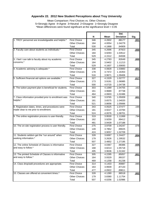# **Appendix 22. 2012 New Student Perceptions about Troy University**

| Mean Comparison: First Choices vs. Other Choices<br>5=Strongly Agree 4=Agree 3=Neutral 2=Disagree 1=Strongly Disagree<br>*Mean differences were found significant at the significance level = 0.05 |                                             |            |                  |                          |      |
|----------------------------------------------------------------------------------------------------------------------------------------------------------------------------------------------------|---------------------------------------------|------------|------------------|--------------------------|------|
|                                                                                                                                                                                                    |                                             | N          | Mean             | Std.<br><b>Deviation</b> | Sig. |
| 1. TROY personnel are knowledgeable and helpful.*                                                                                                                                                  | <b>First Choice</b><br><b>Other Choices</b> | 346<br>184 | 4.2832<br>4.0054 | .88177<br>1.04279        | .001 |
|                                                                                                                                                                                                    | Total                                       | 530        | 4.1868           | .94909                   |      |
| 2. Faculty care about students as individuals.*                                                                                                                                                    | <b>First Choice</b>                         | 345        | 4.2696           | .87923                   | .000 |
|                                                                                                                                                                                                    | <b>Other Choices</b>                        | 184        | 3.9293           | 1.03512                  |      |
|                                                                                                                                                                                                    | Total                                       | 529        | 4.1512           | .94938                   |      |
| 3. I feel I can talk to faculty about my academic<br>concerns.*                                                                                                                                    | <b>First Choice</b>                         | 345        | 4.2783           | .92649                   | .000 |
|                                                                                                                                                                                                    | <b>Other Choices</b>                        | 184        | 3.9402           | 1.11213                  |      |
|                                                                                                                                                                                                    | Total                                       | 529        | 4.1607           | 1.00693                  |      |
| 4. Academic advising is adequate.*                                                                                                                                                                 | <b>First Choice</b>                         | 338        | 4.0828           | 1.03883                  | .001 |
|                                                                                                                                                                                                    | <b>Other Choices</b>                        | 178        | 3.7472           | 1.16353                  |      |
|                                                                                                                                                                                                    | Total                                       | 516        | 3.9671           | 1.09406                  |      |
| 5. Sufficient financial aid options are available.*                                                                                                                                                | <b>First Choice</b>                         | 327        | 4.1529           | 1.02777                  | .017 |
|                                                                                                                                                                                                    | <b>Other Choices</b>                        | 173        | 3.9191           | 1.06985                  |      |
|                                                                                                                                                                                                    | Total                                       | 500        | 4.0720           | 1.04738                  |      |
| 6. The tuition payment plan is beneficial for students.                                                                                                                                            | <b>First Choice</b>                         | 303        | 4.1089           | 1.04755                  | .162 |
|                                                                                                                                                                                                    | <b>Other Choices</b><br>Total               | 161<br>464 | 3.9689<br>4.0603 | .97738<br>1.02486        |      |
| 7. Class information provided prior to enrollment was                                                                                                                                              | <b>First Choice</b>                         | 340        | 3.9765           | 1.05009                  | .001 |
| helpful.*                                                                                                                                                                                          | <b>Other Choices</b>                        | 181        | 3.6575           | 1.04020                  |      |
|                                                                                                                                                                                                    | Total                                       | 521        | 3.8656           | 1.05666                  |      |
| 8. Registration dates, times, and procedures were                                                                                                                                                  | <b>First Choice</b>                         | 343        | 4.0525           | 1.07477                  | .194 |
| made clear to me prior to enrollment.                                                                                                                                                              | <b>Other Choices</b>                        | 181        | 3.9227           | 1.10784                  |      |
|                                                                                                                                                                                                    | Total                                       | 524        | 4.0076           | 1.08701                  |      |
| 9. The online registration process is user-friendly.                                                                                                                                               | <b>First Choice</b>                         | 319        | 3.9530           | 1.11069                  | .794 |
|                                                                                                                                                                                                    | <b>Other Choices</b>                        | 162        | 3.9259           | .99412                   |      |
|                                                                                                                                                                                                    | Total                                       | 481        | 3.9439           | 1.07188                  |      |
| 10. The on-site registration process is user-friendly.                                                                                                                                             | <b>First Choice</b>                         | 275        | 3.9709           | 1.04247                  | .076 |
|                                                                                                                                                                                                    | <b>Other Choices</b>                        | 149        | 3.7852           | .99025                   |      |
|                                                                                                                                                                                                    | Total                                       | 424        | 3.9057           | 1.02709                  |      |
| 11. Students seldom get the "run around" when                                                                                                                                                      | <b>First Choice</b>                         | 328        | 3.6067           | 1.24427                  | .004 |
| seeking information.*                                                                                                                                                                              | <b>Other Choices</b>                        | 179        | 3.2626           | 1.29532                  |      |
|                                                                                                                                                                                                    | Total                                       | 507        | 3.4852           | 1.27195                  |      |
| 12. The online Schedule of Classes is informative<br>and easy to follow.*                                                                                                                          | <b>First Choice</b><br><b>Other Choices</b> | 327        | 4.0367           | .98386                   | .025 |
|                                                                                                                                                                                                    | Total                                       | 168<br>495 | 3.8214<br>3.9636 | 1.05718<br>1.01342       |      |
| 13. The printed Schedule of Classes is informative                                                                                                                                                 | <b>First Choice</b>                         | 305        | 4.2295           | .85057                   | .001 |
| and easy to follow.*                                                                                                                                                                               | <b>Other Choices</b>                        | 164        | 3.9329           | .99157                   |      |
|                                                                                                                                                                                                    | Total                                       | 469        | 4.1258           | .91238                   |      |
| 14. Class drop/add procedures are appropriate.                                                                                                                                                     | <b>First Choice</b>                         | 314        | 4.1433           | .90887                   | .085 |
|                                                                                                                                                                                                    | <b>Other Choices</b>                        | 163        | 3.9939           | .87133                   |      |
|                                                                                                                                                                                                    | Total                                       | 477        | 4.0922           | .89811                   |      |
| 15. Classes are offered at convenient times.*                                                                                                                                                      | <b>First Choice</b>                         | 328        | 4.1280           | .96518                   | .002 |
|                                                                                                                                                                                                    | <b>Other Choices</b>                        | 179        | 3.8380           | 1.11754                  |      |
|                                                                                                                                                                                                    | Total                                       | 507        | 4.0256           | 1.02986                  |      |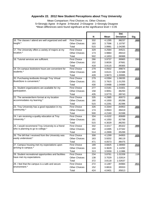# **Appendix 22. 2012 New Student Perceptions about Troy University**

|                                                                            |                                             |            |                  | Std.               |             |
|----------------------------------------------------------------------------|---------------------------------------------|------------|------------------|--------------------|-------------|
|                                                                            |                                             | N          | <b>Mean</b>      | <b>Deviation</b>   | Sig.        |
| 16. The classes I attend are well organized and well<br>taught.*           | <b>First Choice</b><br><b>Other Choices</b> | 332<br>183 | 4.1295<br>3.7596 | .98237<br>1.10797  | .000        |
|                                                                            | Total                                       | 515        | 3.9981           | 1.04285            |             |
| 17. The University offers a variety of majors at my                        | <b>First Choice</b>                         | 329        | 4.2584           | .94521             | .003        |
| location.*                                                                 | <b>Other Choices</b>                        | 173        | 3.9884           | .99410             |             |
|                                                                            | Total                                       | 502        | 4.1653           | .96988             |             |
| 18. Tutorial services are sufficient.                                      | <b>First Choice</b>                         | 266        | 3.9737           | .99965             | .090        |
|                                                                            | <b>Other Choices</b>                        | 152        | 3.8026           | .97681             |             |
|                                                                            | Total                                       | 418        | 3.9115           | .99365             |             |
| 19. On-campus bookstore hours are convenient for<br>students.*             | <b>First Choice</b>                         | 279        | 4.0502           | .99874             | .020        |
|                                                                            | <b>Other Choices</b>                        | 149        | 3.8121           | 1.01588            |             |
|                                                                            | Total                                       | 428        | 3.9673           | 1.00995            |             |
| 20. Purchasing textbooks through Troy Virtual<br>BookStore is convenient.* | <b>First Choice</b>                         | 279        | 4.0394           | 1.06035            | .015        |
|                                                                            | <b>Other Choices</b><br>Total               | 151<br>430 | 3.7815<br>3.9488 | 1.01255<br>1.04989 |             |
| 21. Student organizations are available for my                             | <b>First Choice</b>                         | 277        | 4.0181           | 1.01601            | .256        |
| participation.                                                             | <b>Other Choices</b>                        | 158        | 3.9051           | .96293             |             |
|                                                                            | Total                                       | 435        | 3.9770           | .99743             |             |
| 22. The semester/term format at my location                                | <b>First Choice</b>                         | 335        | 4.2985           | .80073             | .009        |
| accommodates my learning.*                                                 | <b>Other Choices</b>                        | 180        | 4.1000           | .85286             |             |
|                                                                            | Total                                       | 515        | 4.2291           | .82396             |             |
| 23. Troy University has a good reputation in my                            | <b>First Choice</b>                         | 326        | 4.3344           | .84953             | .000        |
| community.*                                                                | <b>Other Choices</b>                        | 174        | 3.9943           | .99419             |             |
|                                                                            | Total                                       | 500        | 4.2160           | .91598             |             |
| 24. I am receiving a quality education at Troy                             | <b>First Choice</b>                         | 334        | 4.4102           | .80689             | .000        |
| University.*                                                               | <b>Other Choices</b>                        | 181        | 4.1050           | .92798             |             |
| 25. I would recommend Troy University to a friend                          | Total                                       | 515        | 4.3029           | .86293             |             |
| who is planning to go to college.*                                         | <b>First Choice</b><br><b>Other Choices</b> | 332<br>182 | 4.4217<br>4.0495 | .85322<br>1.07342  | .000        |
|                                                                            | Total                                       | 514        | 4.2899           | .95289             |             |
| 26. The bill that I received from the University was                       | <b>First Choice</b>                         | 308        | 4.1299           | .94955             | .025        |
| easily understood.*                                                        | <b>Other Choices</b>                        | 163        | 3.9202           | .98119             |             |
|                                                                            | Total                                       | 471        | 4.0573           | .96475             |             |
| 27. Campus housing met my expectations upon                                | <b>First Choice</b>                         | 189        | 3.6825           | 1.08900            | <u>.013</u> |
| arriving to campus.*                                                       | <b>Other Choices</b>                        | 124        | 3.3629           | 1.14292            |             |
|                                                                            | Total                                       | 313        | 3.5559           | 1.11986            |             |
| 28. Student recreational opportunities and facilities                      | First Choice                                | 234        | 3.8761           | 1.02209            | .116        |
| have met my expectations.                                                  | <b>Other Choices</b>                        | 138        | 3.7029           | 1.02814            |             |
|                                                                            | Total                                       | 372        | 3.8118           | 1.02637            |             |
|                                                                            | <b>First Choice</b>                         | 272<br>152 | 4.1287<br>3.8816 | .94984             | <u>.011</u> |
| 29. I feel that the campus is a safe and secure<br>environment.*           | <b>Other Choices</b>                        |            |                  | .95553             |             |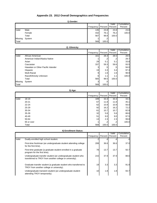# **Appendix 23. 2012 Overall Demographics and Frequencies**

|         |        |           |       | Valid             | Cumulative |
|---------|--------|-----------|-------|-------------------|------------|
|         |        | Frequency |       | Percent   Percent | Percent    |
| Valid   | Male   | 135       | 23.8  | 23.8              | 23.8       |
|         | Female | 432       | 76.1  | 76.2              | 100.0      |
|         | Total  | 567       | 99.8  | 100.0             |            |
| Missing | System |           | .2    |                   |            |
| Total   |        | 568       | 100.0 |                   |            |

| 2) Ethnicity: |
|---------------|
|               |

|         |                                    |                 |         | Valid        | Cumulative |
|---------|------------------------------------|-----------------|---------|--------------|------------|
|         |                                    | Frequency       | Percent | Percent      | Percent    |
| Valid   | African American                   | 161             | 28.3    | 28.5         | 28.5       |
|         | American Indian/Alaska Native      |                 |         |              | 28.7       |
|         | Asian                              | 29              | 5.1     | 5.1          | 33.8       |
|         | Caucasian                          | 337             | 59.3    | 59.6         | 93.5       |
|         | Hawaiian or Other Pacific Islander |                 | .5      | $.5^{\circ}$ | 94.0       |
|         | Hispanic                           | 19 <sup>l</sup> | 3.3     | 3.4          | 97.3       |
|         | <b>Multi-Racial</b>                | 9               | 1.6     | 1.6          | 98.9       |
|         | Race/Ethnicity Unknown             | 6               | 1.1     | 1.1          | 100.0      |
|         | Total                              | 565             | 99.5    | 100.0        |            |
| Missing | System                             |                 | .5      |              |            |
| Total   |                                    | 568             | 100.0   |              |            |

|       |            |           |         | Valid   | Cumulative |
|-------|------------|-----------|---------|---------|------------|
|       |            | Frequency | Percent | Percent | Percent    |
| Valid | 18-19      | 189       | 33.3    | 33.3    | 33.3       |
|       | $20 - 21$  | 67        | 11.8    | 11.8    | 45.1       |
|       | $22 - 24$  | 62        | 10.9    | 10.9    | 56.0       |
|       | 25-29      | 92        | 16.2    | 16.2    | 72.2       |
|       | 30-34      | 61        | 10.7    | 10.7    | 82.9       |
|       | $35 - 39$  | 32        | 5.6     | 5.6     | 88.6       |
|       | 40-49      | 51        | 9.0     | 9.0     | 97.5       |
|       | 50-64      | 13        | 2.3     | 2.3     | 99.8       |
|       | 65 or over |           | .2      | .2      | 100.0      |
|       | Total      | 568       | 100.0   | 100.0   |            |

# **4) Enrollment Status:**

|                  | 1) Gender:                                                                                                               |            |                | Valid            | Cumulative            |
|------------------|--------------------------------------------------------------------------------------------------------------------------|------------|----------------|------------------|-----------------------|
|                  |                                                                                                                          | Frequency  | Percent        | Percent          | Percent               |
| Valid            | Male                                                                                                                     | 135        | 23.8           | 23.8             | 23.8                  |
|                  | Female<br>Total                                                                                                          | 432<br>567 | 76.1<br>99.8   | 76.2<br>100.0    | 100.0                 |
| Missing          | System                                                                                                                   | 1          | $\cdot$        |                  |                       |
| Total            |                                                                                                                          | 568        | 100.0          |                  |                       |
|                  | 2) Ethnicity:                                                                                                            |            |                |                  |                       |
|                  |                                                                                                                          |            |                | Valid            | Cumulative            |
|                  |                                                                                                                          | Frequency  | Percent        | Percent          | Percent               |
| Valid            | African American                                                                                                         | 161        | 28.3           | 28.5             | 28.5                  |
|                  | American Indian/Alaska Native                                                                                            | 1          | .2             | .2               | 28.7                  |
|                  | Asian                                                                                                                    | 29         | 5.1            | 5.1              | 33.8                  |
|                  | Caucasian                                                                                                                | 337        | 59.3           | 59.6             | 93.5                  |
|                  | Hawaiian or Other Pacific Islander                                                                                       | 3          | .5             | .5               | 94.0                  |
|                  | Hispanic                                                                                                                 | 19         | 3.3            | 3.4              | 97.3                  |
|                  | Multi-Racial                                                                                                             | 9          | 1.6            | 1.6              | 98.9                  |
|                  | Race/Ethnicity Unknown                                                                                                   | 6          | 1.1            | 1.1              | 100.0                 |
|                  | Total                                                                                                                    | 565        | 99.5           | 100.0            |                       |
| Missing<br>Total | System                                                                                                                   | 3<br>568   | .5             |                  |                       |
|                  |                                                                                                                          |            | 100.0          |                  |                       |
|                  | 3) Age:                                                                                                                  |            |                | Valid            | Cumulative            |
|                  |                                                                                                                          | Frequency  | Percent        | Percent          | Percent               |
| Valid            | 18-19                                                                                                                    | 189        | 33.3           | 33.3             | 33.3                  |
|                  | $20 - 21$                                                                                                                | 67         | 11.8           | 11.8             | 45.1                  |
|                  | $22 - 24$                                                                                                                | 62         | 10.9           | 10.9             | 56.0                  |
|                  | 25-29                                                                                                                    | 92         | 16.2           | 16.2             | 72.2                  |
|                  | 30-34                                                                                                                    | 61         | 10.7           | 10.7             | 82.9                  |
|                  | 35-39                                                                                                                    | 32         | 5.6            | 5.6              | 88.6                  |
|                  | 40-49                                                                                                                    | 51         | 9.0            | 9.0              | 97.5                  |
|                  | 50-64                                                                                                                    | 13         | 2.3            | 2.3              | 99.8                  |
|                  | 65 or over                                                                                                               |            | $\overline{c}$ | 2                | 100.0                 |
|                  | Total                                                                                                                    | 568        | 100.0          | 100.0            |                       |
|                  | 4) Enrollment Status:                                                                                                    |            |                |                  |                       |
|                  |                                                                                                                          | Frequency  | Percent        | Valid<br>Percent | Cumulative<br>Percent |
| Valid            | Dually-enrolled high school student.                                                                                     | 2          | .4             | .4               | .4                    |
|                  | First-time freshman (an undergraduate student attending college<br>for the first time).                                  | 208        | 36.6           | 36.6             | 37.0                  |
|                  | First-time graduate (a graduate student enrolled in a graduate                                                           | 78         | 13.7           | 13.7             | 50.7                  |
|                  | program for the first time).                                                                                             |            |                | 37.9             | 88.6                  |
|                  | Undergraduate transfer student (an undergraduate student who<br>transferred to TROY from another college or university). | 215        | 37.9           |                  |                       |
|                  | Graduate transfer student (a graduate student who transferred to<br>TROY from another college or university).            | 19         | 3.3            | 3.3              | 91.9                  |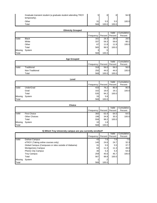| Graduate transient student (a graduate student attending TROY<br>temporarily). |     | .91   | .91              | 94.5  |
|--------------------------------------------------------------------------------|-----|-------|------------------|-------|
| Other                                                                          | 21  | 5.5   | 5.5 <sub>1</sub> | 100.0 |
| Total                                                                          | 568 | 100.0 | 100.0            |       |

# **Ethnicity Grouped**

|         |              |           |         | Valid   | Cumulative |
|---------|--------------|-----------|---------|---------|------------|
|         |              | Frequency | Percent | Percent | Percent    |
| Valid   | <b>Black</b> | 1611      | 28.3    | 28.5    | 28.5       |
|         | White        | 337       | 59.3    | 59.6    | 88.1       |
|         | Other        | 67        | 11.8    | 11.9    | 100.0      |
|         | Total        | 565       | 99.5    | 100.0   |            |
| Missing | System       | 3         | .5      |         |            |
| Total   |              | 568       | 100.0   |         |            |

# **Age Grouped**

|       |                 |           |                        | Valid | Cumulative |
|-------|-----------------|-----------|------------------------|-------|------------|
|       |                 | Frequency | <b>Percent Percent</b> |       | Percent    |
| Valid | Traditional     | 318       | 56.0                   | 56.0  | 56.0       |
|       | Non-Traditional | 250       | 44.0                   | 44.0  | 100.0      |
|       | Total           | 568       | 100.0                  | 100.0 |            |

|         | Level            |           |       |                 |            |
|---------|------------------|-----------|-------|-----------------|------------|
|         |                  |           |       | Valid           | Cumulative |
|         |                  | Frequency |       | Percent Percent | Percent    |
| Valid   | <b>UnderGrad</b> | 433       | 76.2  | 80.9            | 80.9       |
|         | Grad             | 102       | 18.0  | 19.1            | 100.0      |
|         | Total            | 535       | 94.2  | 100.0           |            |
| Missing | System           | 33        | 5.8   |                 |            |
| Total   |                  | 568       | 100.0 |                 |            |

|         |                      |                 |         | Valid   | Cumulative |
|---------|----------------------|-----------------|---------|---------|------------|
|         |                      | Frequency       | Percent | Percent | Percent    |
| Valid   | <b>First Choice</b>  | 360             | 63.4    | 64.5    | 64.5       |
|         | <b>Other Choices</b> | 198             | 34.9    | 35.5    | 100.0      |
|         | Total                | 558             | 98.2    | 100.0   |            |
| Missing | System               | 10 <sup>1</sup> | 1.8     |         |            |
| Total   |                      | 568             | 100.0   |         |            |

|                                             | Graduate transient student (a graduate student attending TROY<br>temporarily). | $\mathbf 5$      | $\cdot$ 9        | .9               | 94.5                          |
|---------------------------------------------|--------------------------------------------------------------------------------|------------------|------------------|------------------|-------------------------------|
|                                             | Other<br>Total                                                                 | 31<br>568        | 5.5<br>100.0     | 5.5<br>100.0     | 100.0                         |
|                                             | <b>Ethnicity Grouped</b>                                                       |                  |                  |                  |                               |
|                                             |                                                                                | Frequency        | Percent          | Valid<br>Percent | Cumulative<br>Percent         |
| Valid                                       | <b>Black</b><br>White                                                          | 161<br>337       | 28.3<br>59.3     | 28.5<br>59.6     | 28.5<br>88.1                  |
|                                             | Other                                                                          | 67               | 11.8             | 11.9             | 100.0                         |
| Missing                                     | Total                                                                          | 565<br>3         | 99.5             | 100.0            |                               |
| Total                                       | System                                                                         | 568              | .5<br>100.0      |                  |                               |
|                                             | <b>Age Grouped</b>                                                             |                  |                  |                  |                               |
|                                             |                                                                                | Frequency        | Percent          | Valid<br>Percent | Cumulative<br>Percent         |
| Valid                                       | Traditional                                                                    | 318              | 56.0             | 56.0             | 56.0                          |
|                                             | Non-Traditional<br>Total                                                       | 250<br>568       | 44.0<br>100.0    | 44.0<br>100.0    | 100.0                         |
|                                             | Level                                                                          |                  |                  |                  |                               |
|                                             |                                                                                |                  |                  | Valid            | Cumulative                    |
|                                             |                                                                                | Frequency<br>433 | Percent<br>76.2  | Percent<br>80.9  | Percent<br>80.9               |
|                                             |                                                                                |                  |                  |                  |                               |
|                                             | <b>UnderGrad</b><br>Grad                                                       | 102              | 18.0             | 19.1             |                               |
|                                             | Total                                                                          | 535              | 94.2             | 100.0            |                               |
|                                             | System                                                                         | 33<br>568        | 5.8<br>100.0     |                  | 100.0                         |
|                                             | <b>Choice</b>                                                                  |                  |                  |                  |                               |
|                                             |                                                                                | Frequency        | Percent          | Valid<br>Percent | Percent                       |
|                                             | <b>First Choice</b>                                                            | 360              | 63.4             | 64.5             |                               |
|                                             | <b>Other Choices</b>                                                           | 198              | 34.9             | 35.5             |                               |
|                                             | Total                                                                          | 558              | 98.2             | 100.0            |                               |
|                                             | Missing System                                                                 | $10$<br>568      | $1.8\,$<br>100.0 |                  | Cumulative<br>64.5<br>100.0   |
| Valid<br>Missing<br>Total<br>Valid<br>Total | 5) Which Troy University campus are you currently enrolled?                    |                  |                  |                  |                               |
|                                             |                                                                                | Frequency        | Percent          | Valid<br>Percent | Cumulative<br>Percent         |
| Valid                                       | Dothan Campus                                                                  | 43               | 7.6              | 7.6              |                               |
|                                             | eTROY (Taking online courses only)                                             | 140              | 24.6             | 24.7             | 7.6<br>32.3                   |
|                                             | Global Campus (Campuses or sites outside of Alabama)<br>Montgomery Campus      | 31<br>64         | 5.5<br>11.3      | 5.5<br>11.3      |                               |
|                                             | Phenix City Campus                                                             | $30\,$           | 5.3              | 5.3              |                               |
|                                             | <b>Troy Campus</b>                                                             | 259              | 45.6             | 45.7             |                               |
| Missing                                     | Total<br>System                                                                | 567<br>1         | 99.8<br>.2       | 100.0            | 37.7<br>49.0<br>54.3<br>100.0 |

### **5) Which Troy University campus are you currently enrolled?**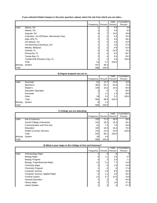# **If you selected Global Campus in the prior question, please select the site from which you are takin...**

|         |                                                            |           |                                 | Valid            | Cumulative            |
|---------|------------------------------------------------------------|-----------|---------------------------------|------------------|-----------------------|
|         |                                                            | Frequency | Percent                         | Percent          | Percent               |
| Valid   | Albany, GA                                                 |           | .2<br>1                         | 4.8              | 4.8                   |
|         | Atlanta, GA                                                |           | $\cdot$<br>1                    | 4.8              | 9.5                   |
|         | Augusta, GA                                                |           | .7<br>4                         | 19.0             | 28.6                  |
|         | Columbus, GA (Off Base- Manchester Exp)                    |           | $\cdot$<br>1                    | 4.8              | 33.3                  |
|         | Eglin AFB, FL                                              |           | $\overline{2}$<br>1             | 4.8              | 38.1                  |
|         | Fort Belvoir, VA                                           |           | $\cdot$                         | 4.8              | 42.9                  |
|         | Fort Benning (Columbus), GA                                |           | $\overline{2}$                  | 4.8              | 47.6                  |
|         | Melaka, Malaysia<br>Orlando, FL                            |           | $\overline{.2}$<br>1<br>5<br>.9 | 4.8<br>23.8      | 52.4                  |
|         | Pensacola, FL                                              |           | $\overline{\mathbf{c}}$<br>.4   | 9.5              | 76.2<br>85.7          |
|         | Tampa Bay, FL                                              |           | $\overline{\mathbf{c}}$<br>.4   | 9.5              | 95.2                  |
|         | Tyndall AFB (Panama City), FL                              |           | $\cdot$<br>1                    | 4.8              | 100.0                 |
|         | Total                                                      |           | 21<br>3.7                       | 100.0            |                       |
| Missing | System                                                     | 547       | 96.3                            |                  |                       |
| Total   |                                                            | 568       | 100.0                           |                  |                       |
|         | 6) Degree program you are in:                              |           |                                 |                  |                       |
|         |                                                            |           | Percent                         | Valid<br>Percent | Cumulative<br>Percent |
| Valid   | Associate                                                  | Frequency | 61<br>10.7                      | 10.9             | 10.9                  |
|         | Bachelor's                                                 | 362       | 63.7                            | 64.6             | 75.5                  |
|         | Master's                                                   | 109       | 19.2                            | 19.5             | 95.0                  |
|         | <b>Education Specialist</b>                                |           | 3<br>.5                         | $.5\,$           | 95.5                  |
|         | Doctorate                                                  |           | 7<br>1.2                        | 1.3              | 96.8                  |
|         | Other                                                      |           | 18<br>3.2                       | 3.2              | 100.0                 |
|         | Total                                                      | 560       | 98.6                            | 100.0            |                       |
| Missing | System                                                     |           | 1.4<br>8                        |                  |                       |
| Total   |                                                            | 568       | 100.0                           |                  |                       |
|         | 7) College you are attending:                              |           |                                 |                  |                       |
|         |                                                            | Frequency | Percent                         | Valid<br>Percent | Cumulative<br>Percent |
| Valid   | Arts & Sciences                                            | 156       | 27.5                            | 28.9             | 28.9                  |
|         | Sorrell College of Business                                | 104       | 18.3                            | 19.3             | 48.1                  |
|         | Communication and Fine Arts                                |           | 42<br>7.4                       | 7.8              | 55.9                  |
|         | Education                                                  | 105       | 18.5                            | 19.4             | 75.4                  |
|         | <b>Health &amp; Human Services</b>                         | 133       | 23.4                            | 24.6             | 100.0                 |
|         | Total                                                      | 540       | 95.1                            | 100.0            |                       |
| Missing | System                                                     |           | 28<br>4.9                       |                  |                       |
| Total   |                                                            | 568       | 100.0                           |                  |                       |
|         | 8) What is your major in the College of Arts and Sciences? |           |                                 |                  |                       |
|         |                                                            | Frequency | Percent                         | Valid<br>Percent | Cumulative<br>Percent |
| Valid   | Anthropology Major                                         |           | $\cdot$ .2<br>1                 | .6               | .6                    |
|         | <b>Biology Major</b>                                       |           | 6<br>1.1                        | 3.9              | 4.5                   |
|         | <b>Biology Program</b>                                     |           | 4<br>.7                         | 2.6              | 7.1                   |
|         | Biology, Preprofessional Major                             |           | 12<br>2.1                       | 7.7              | 14.8                  |
|         | <b>Chemistry Major</b>                                     |           | 3<br>$.5\,$                     | 1.9              | 16.8                  |
|         | <b>Chemistry Program</b>                                   |           | $\cdot$<br>1                    | .6               | 17.4                  |
|         | <b>Computer Science</b>                                    |           | 2.5<br>14                       | 9.0              | 26.5                  |
|         | Computer Science, Applied Major                            |           | 1.1<br>6                        | 3.9              | 30.3                  |
|         | <b>Criminal Justice</b>                                    | 21        | 3.7                             | 13.5             | 43.9                  |
|         | <b>General Education</b>                                   |           | 1<br>$\cdot$                    | .6               | 44.5                  |
|         | <b>History Major</b>                                       |           | $\cdot 7$<br>4                  | 2.6              | 47.1                  |
|         | <b>Liberal Studies</b>                                     |           | $\mathbf{.2}$<br>$\mathbf{1}$   | ${\bf .6}$       | 47.7                  |

| 6) Degree program you are in: |  |  |
|-------------------------------|--|--|
|-------------------------------|--|--|

|         |                             |           |              | Valid            | Cumulative |
|---------|-----------------------------|-----------|--------------|------------------|------------|
|         |                             | Frequency | Percent      | Percent          | Percent    |
| Valid   | Associate                   | 61        | 10.7         | 10.9             | 10.9       |
|         | Bachelor's                  | 362       | 63.7         | 64.6             | 75.5       |
|         | Master's                    | 109       | 19.2         | 19.5             | 95.0       |
|         | <b>Education Specialist</b> | 3         | $.5^{\circ}$ | .5'              | 95.5       |
|         | Doctorate                   |           | 1.21         | 1.3              | 96.8       |
|         | Other                       | 18        | 3.2          | 3.2 <sub>l</sub> | 100.0      |
|         | Total                       | 560       | 98.6         | 100.0            |            |
| Missing | System                      | 8         | 1.4          |                  |            |
| Total   |                             | 568       | 100.0        |                  |            |

| 7) College you are attending: |  |  |  |  |  |  |  |
|-------------------------------|--|--|--|--|--|--|--|
|-------------------------------|--|--|--|--|--|--|--|

|              |                                    |                  |         | Valid   | Cumulative |
|--------------|------------------------------------|------------------|---------|---------|------------|
|              |                                    | Frequency        | Percent | Percent | Percent    |
| Valid        | Arts & Sciences                    | 156              | 27.5    | 28.9    | 28.9       |
|              | Sorrell College of Business        | 104 <sub>l</sub> | 18.3    | 19.3    | 48.1       |
|              | <b>Communication and Fine Arts</b> | 42               | 7.4     | 7.8I    | 55.9       |
|              | Education                          | 105              | 18.5    | 19.4    | 75.4       |
|              | <b>Health &amp; Human Services</b> | 133              | 23.4    | 24.6    | 100.0      |
|              | Total                              | 540              | 95.1    | 100.0   |            |
| Missing      | System                             | 28               | 4.9     |         |            |
| <b>Total</b> |                                    | 568              | 100.0   |         |            |

|       |                                 |           |         | Valid   | Cumulative |
|-------|---------------------------------|-----------|---------|---------|------------|
|       |                                 | Frequency | Percent | Percent | Percent    |
| Valid | Anthropology Major              |           |         | .6      | .6         |
|       | <b>Biology Major</b>            | 6         | 1.1     | 3.9     | 4.5        |
|       | <b>Biology Program</b>          | 4         |         | 2.6     | 7.1        |
|       | Biology, Preprofessional Major  | 12        | 2.1     | 7.7     | 14.8       |
|       | <b>Chemistry Major</b>          | 3         | .5      | 1.9     | 16.8       |
|       | <b>Chemistry Program</b>        |           | .2      | .6      | 17.4       |
|       | <b>Computer Science</b>         | 14        | 2.5     | 9.0     | 26.5       |
|       | Computer Science, Applied Major | 6         | 1.1     | 3.9     | 30.3       |
|       | Criminal Justice                | 21        | 3.7     | 13.5    | 43.9       |
|       | <b>General Education</b>        |           | .2      | .6      | 44.5       |
|       | <b>History Major</b>            | 4         | $\cdot$ | 2.6     | 47.1       |
|       | <b>Liberal Studies</b>          |           | .2      | .6      | 47.7       |

|  |  | 8) What is your major in the College of Arts and Sciences? |  |
|--|--|------------------------------------------------------------|--|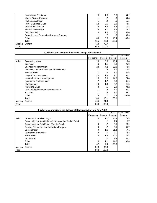|         | International Relations                  | 10  | 1.8   | 6.5    | 54.2  |
|---------|------------------------------------------|-----|-------|--------|-------|
|         | Marine Biology Program                   |     |       | .6     | 54.8  |
|         | <b>Mathematics Major</b>                 |     |       | .6     | 55.5  |
|         | <b>Political Science Major</b>           | 14  | 2.5   | 9.0    | 64.5  |
|         | <b>Public Administration</b>             | 9   | 1.6   | 5.8    | 70.3  |
|         | Social Science Major                     | 6   | 1.1   | 3.9    | 74.2  |
|         | Sociology Major                          | 9   | 1.6   | 5.8    | 80.0  |
|         | Surveying and Geomatics Sciences Program |     |       | $.6\,$ | 80.6  |
|         | Other                                    | 30  | 5.3   | 19.4   | 100.0 |
|         | Total                                    | 155 | 27.3  | 100.0  |       |
| Missing | System                                   | 413 | 72.7  |        |       |
| Total   |                                          | 568 | 100.0 |        |       |

|         | <b>International Relations</b>                                       | 10        | 1.8            | 6.5              | 54.2                                                          |
|---------|----------------------------------------------------------------------|-----------|----------------|------------------|---------------------------------------------------------------|
|         | Marine Biology Program                                               | 1         | $\cdot$        | .6               | 54.8                                                          |
|         | <b>Mathematics Major</b>                                             | 1         | $\cdot$        | .6               | 55.5                                                          |
|         | Political Science Major                                              | 14        | 2.5            | 9.0              | 64.5                                                          |
|         | <b>Public Administration</b>                                         | 9         | 1.6            | 5.8              | 70.3                                                          |
|         | Social Science Major                                                 | 6         | 1.1            | 3.9              | 74.2                                                          |
|         | Sociology Major                                                      | 9         | 1.6            | 5.8              | 80.0                                                          |
|         | Surveying and Geomatics Sciences Program                             | 1         | $\cdot$        | .6               | 80.6                                                          |
|         | Other                                                                | 30        | 5.3            | 19.4             | 100.0                                                         |
|         | Total                                                                | 155       | 27.3           | 100.0            |                                                               |
| Missing | System                                                               | 413       | 72.7           |                  |                                                               |
| Total   |                                                                      | 568       | 100.0          |                  |                                                               |
|         | 8) What is your major in the Sorrell College of Business?            |           |                |                  |                                                               |
|         |                                                                      | Frequency | Percent        | Valid<br>Percent | Cumulative<br>Percent                                         |
| Valid   | <b>Accounting Major</b>                                              | 20        | 3.5            | 19.4             | 19.4                                                          |
|         | <b>Business</b>                                                      | 6         | 1.1            | 5.8              | 25.2                                                          |
|         | <b>Business Administration</b>                                       | 24        | 4.2            | 23.3             | 48.5                                                          |
|         | Executive Master of Business Administration                          | 1         | $\cdot$        | 1.0              | 49.5                                                          |
|         | Finance Major                                                        | 1         | .2             | 1.0              | 50.5                                                          |
|         | General Business Major                                               | 10        | 1.8            | 9.7              | 60.2                                                          |
|         | Human Resource Management                                            | 15        | 2.6            | 14.6             | 74.8                                                          |
|         | Information Systems Major                                            | 7         | 1.2            | 6.8              | 81.6                                                          |
|         | Management                                                           | 10        | 1.8            | 9.7              | 91.3                                                          |
|         | <b>Marketing Major</b>                                               | 3         | $.5\,$         | 2.9              | 94.2                                                          |
|         | Risk Management and Insurance Major                                  | 1         | $\cdot$        | 1.0              | 95.1                                                          |
|         | Taxation                                                             | 1         | $\cdot$        | 1.0              | 96.1                                                          |
|         | Other                                                                | 4         | $\cdot$        | 3.9              | 100.0                                                         |
|         | Total                                                                | 103       | 18.1           | 100.0            |                                                               |
| Missing | System                                                               | 465       | 81.9           |                  |                                                               |
| Total   |                                                                      | 568       | 100.0          |                  |                                                               |
|         | 8) What is your major in the College of Communication and Fine Arts? |           |                |                  |                                                               |
|         |                                                                      | Frequency | Percent        | Valid<br>Percent | Cumulative<br>Percent                                         |
| Valid   | Broadcast Journalism Major                                           | 6         | 1.1            | 14.3             | 14.3                                                          |
|         |                                                                      |           |                |                  |                                                               |
|         |                                                                      | 1         | $\mathfrak{p}$ |                  |                                                               |
|         | <b>Communication Arts Major - Communication Studies Track</b>        |           |                | 2.4              |                                                               |
|         | Communication Arts Major - Theatre Track                             | 4         | .7             | 9.5              |                                                               |
|         | Design, Technology and Innovation Program                            | 4         | .7             | 9.5              |                                                               |
|         | English Major                                                        | 9         | 1.6<br>$.5\,$  | 21.4<br>7.1      |                                                               |
|         | Journalism, Print Major<br>Music Major                               | 3<br>8    | 1.4            | 19.0             |                                                               |
|         | Studio Arts                                                          | 1         | .2             | 2.4              |                                                               |
|         | Other                                                                | 6         | 1.1            | 14.3             |                                                               |
|         | Total                                                                | 42        | 7.4            | 100.0            |                                                               |
| Missing | System                                                               | 526       | 92.6           |                  | 16.7<br>26.2<br>35.7<br>57.1<br>64.3<br>83.3<br>85.7<br>100.0 |

|         | 0) WHAT IS YOU! THATCH THE CONCUC OF COMMUNICATION AND I THE ATLS: |           |         |         |            |
|---------|--------------------------------------------------------------------|-----------|---------|---------|------------|
|         |                                                                    |           |         | Valid   | Cumulative |
|         |                                                                    | Frequency | Percent | Percent | Percent    |
| Valid   | Broadcast Journalism Major                                         | 6         | 1.1     | 14.3    | 14.3       |
|         | Communication Arts Major - Communication Studies Track             |           | .2      | 2.4     | 16.7       |
|         | <b>Communication Arts Major - Theatre Track</b>                    | 4         |         | 9.5     | 26.2       |
|         | Design, Technology and Innovation Program                          | 4         |         | 9.5     | 35.7       |
|         | <b>English Major</b>                                               | 9         | 1.6     | 21.4    | 57.1       |
|         | Journalism, Print Major                                            | 3         | .5      | 7.1     | 64.3       |
|         | <b>Music Major</b>                                                 | 8         | 1.4     | 19.0    | 83.3       |
|         | <b>Studio Arts</b>                                                 |           |         | 2.4     | 85.7       |
|         | Other                                                              | 6         | 1.1     | 14.3    | 100.0      |
|         | Total                                                              | 42        | 7.4     | 100.0   |            |
| Missing | System                                                             | 526       | 92.6    |         |            |
| Total   |                                                                    | 568       | 100.0   |         |            |

### **8) What is your major in the College of Communication and Fine Arts?**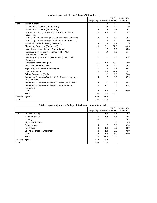| Valid          |                                                                                                  | Frequency        | Percent           | Valid<br>Percent | Cumulative<br>Percent                                                      |
|----------------|--------------------------------------------------------------------------------------------------|------------------|-------------------|------------------|----------------------------------------------------------------------------|
|                | <b>Adult Education</b>                                                                           | 1                | .2                | 1.0              | 1.0                                                                        |
|                | Collaborative Teacher (Grades 6-12)                                                              | 1                | $\cdot$           | 1.0              | 1.9                                                                        |
|                | Collaborative Teacher (Grades K-6)                                                               | 5                | .9                | 4.8              | 6.7                                                                        |
|                | Counseling and Psychology - Clinical Mental Health                                               | 10               | 1.8               | 9.5              | 16.2                                                                       |
|                | Counseling                                                                                       |                  |                   |                  |                                                                            |
|                | Counseling and Psychology - Social Services Counseling                                           | 2                | .4                | 1.9              | 18.1                                                                       |
|                | Counseling and Psychology - Student Affairs Counseling<br>Early Childhood Education (Grades P-3) | 1<br>3           | $\cdot$<br>$.5\,$ | 1.0<br>2.9       | 19.0<br>21.9                                                               |
|                | Elementary Education (Grades K-6)                                                                | 29               | 5.1               | 27.6             | 49.5                                                                       |
|                | Instructional Leadership and Administration                                                      | 1                | $\cdot$           | 1.0              | 50.5                                                                       |
|                | Interdisciplinary Education (Grades P-12) - Music,                                               | 1                | $\overline{2}$    | 1.0              | 51.4                                                                       |
|                | <b>Instrumental Education</b>                                                                    |                  |                   |                  |                                                                            |
|                | Interdisciplinary Education (Grades P-12) - Physical                                             | 1                | $\cdot$           | 1.0              | 52.4                                                                       |
|                | Education                                                                                        |                  |                   |                  |                                                                            |
|                | Interpreter Training Program                                                                     | 11               | 1.9               | 10.5             | 62.9                                                                       |
|                | Post Secondary Education                                                                         | 1                | $\cdot$           | 1.0              | 63.8                                                                       |
|                | Psychology Comprehensive Program                                                                 | $\boldsymbol{2}$ | .4                | 1.9              | 65.7                                                                       |
|                | Psychology Major                                                                                 | 13               | 2.3               | 12.4             | 78.1                                                                       |
|                | School Counseling (P-12)                                                                         | 1                | $\cdot$           | 1.0              | 79.0                                                                       |
|                | Secondary Education (Grades 6-12) - English-Language<br><b>Arts Education</b>                    | 4                | .7                | 3.8              | 82.9                                                                       |
|                | Secondary Education (Grades 6-12) - History Education                                            | 4                | .7                | 3.8              | 86.7                                                                       |
|                | Secondary Education (Grades 6-12) - Mathematics                                                  | 6                | 1.1               | 5.7              | 92.4                                                                       |
|                | Education                                                                                        |                  |                   |                  |                                                                            |
|                | Other                                                                                            | 8                | 1.4               | 7.6              | 100.0                                                                      |
|                | Total                                                                                            | 105              | 18.5              | 100.0            |                                                                            |
| Missing        | System                                                                                           | 463              | 81.5              |                  |                                                                            |
|                | 8) What is your major in the College of Health and Human Services?                               | 568              | 100.0             |                  |                                                                            |
|                |                                                                                                  | Frequency        | Percent           | Valid<br>Percent | Percent                                                                    |
|                | <b>Athletic Training</b>                                                                         | 11               | 1.9               | 8.3              |                                                                            |
|                | <b>Human Services</b>                                                                            | 7                | 1.2               | 5.3              |                                                                            |
|                | Nursing                                                                                          | 86               | 15.1              | 64.7             |                                                                            |
|                | <b>Physical Education</b>                                                                        |                  | .2                | .8               |                                                                            |
|                | Rehabilitation                                                                                   | 4                | $\cdot$           | 3.0              |                                                                            |
|                | Social Work                                                                                      | 8                | 1.4               | $6.0\,$          |                                                                            |
|                | Sports & Fitness Management                                                                      | 8                | 1.4               | $6.0\,$          |                                                                            |
| Total<br>Valid | Other                                                                                            | 8                | 1.4               | 6.0              |                                                                            |
| Missing        | Total<br>System                                                                                  | 133<br>435       | 23.4<br>76.6      | 100.0            | Cumulative<br>8.3<br>13.5<br>78.2<br>78.9<br>82.0<br>88.0<br>94.0<br>100.0 |

|  |  |  |  |  | 8) What is your major in the College of Education? |
|--|--|--|--|--|----------------------------------------------------|
|--|--|--|--|--|----------------------------------------------------|

|         | 8) What is your major in the College of Health and Human Services? |           |                  |         |            |
|---------|--------------------------------------------------------------------|-----------|------------------|---------|------------|
|         |                                                                    |           |                  | Valid   | Cumulative |
|         |                                                                    | Frequency | Percent          | Percent | Percent    |
| Valid   | <b>Athletic Training</b>                                           | 11        | 1.9 <sub>l</sub> | 8.3     | 8.3        |
|         | <b>Human Services</b>                                              |           | 1.2              | 5.3     | 13.5       |
|         | Nursing                                                            | 86        | 15.1             | 64.7    | 78.2       |
|         | <b>Physical Education</b>                                          |           | .2               | .8      | 78.9       |
|         | Rehabilitation                                                     | 4         |                  | 3.0     | 82.0       |
|         | Social Work                                                        | 8         | 1.4              | 6.0     | 88.0       |
|         | Sports & Fitness Management                                        | 8         | 1.4              | 6.0     | 94.0       |
|         | Other                                                              | 8         | 1.4 <sub>1</sub> | 6.0     | 100.0      |
|         | Total                                                              | 133       | 23.4             | 100.0   |            |
| Missing | System                                                             | 435       | 76.6             |         |            |
| Total   |                                                                    | 568       | 100.0            |         |            |

#### **8) What is your major in the College of Health and Human Services?**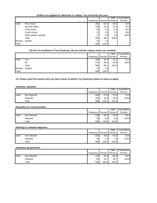|                         |                                                                                          |                  |                 | Valid            | Cumulative                    |
|-------------------------|------------------------------------------------------------------------------------------|------------------|-----------------|------------------|-------------------------------|
|                         |                                                                                          | Frequency        | Percent         | Percent          | Percent                       |
| Valid                   | First choice                                                                             | 360              | 63.4            | 64.5             | 64.5                          |
|                         | Second choice                                                                            | 130              | 22.9            | 23.3             | 87.8                          |
|                         | Third choice<br>Fourth choice                                                            | 30               | 5.3             | 5.4              | 93.2<br>95.2                  |
|                         |                                                                                          | 11<br>27         | 1.9<br>4.8      | 2.0<br>4.8       | 100.0                         |
|                         | Other (please specify)<br>Total                                                          | 558              | 98.2            | 100.0            |                               |
| Missing                 | System                                                                                   | 10               | 1.8             |                  |                               |
| Total                   |                                                                                          | 568              | 100.0           |                  |                               |
|                         | 10) Prior to enrollment in Troy University, did you visit the campus where you enrolled? |                  |                 |                  |                               |
|                         |                                                                                          | Frequency        | Percent         | Valid<br>Percent | Cumulative<br>Percent         |
| Valid                   | Yes                                                                                      | 285              | 50.2            | 51.1             | 51.1                          |
|                         | No                                                                                       | 273              | 48.1            | 48.9             | 100.0                         |
|                         | Total                                                                                    | 558              | 98.2            | 100.0            |                               |
| Missing                 | System                                                                                   | 10               | 1.8             |                  |                               |
| Total                   |                                                                                          | 568              | 100.0           |                  |                               |
|                         |                                                                                          |                  |                 |                  |                               |
|                         | <b>Academic reputation</b>                                                               |                  |                 | Valid            |                               |
|                         | Not Selected                                                                             | Frequency<br>324 | Percent<br>57.0 | Percent          | Cumulative<br>Percent<br>57.0 |
|                         | Selected                                                                                 | 244              | 43.0            | 57.0<br>43.0     |                               |
|                         | Total                                                                                    | 568              | 100.0           | 100.0            | 100.0                         |
|                         | <b>Reputation for social activities</b>                                                  |                  |                 |                  |                               |
|                         |                                                                                          | Frequency        | Percent         | Valid<br>Percent | Percent                       |
|                         | <b>Not Selected</b>                                                                      | 529              | 93.1            | 93.1             |                               |
|                         | Selected                                                                                 | 39               | 6.9             | 6.9              |                               |
|                         | Total                                                                                    | 568              | 100.0           | 100.0            | Cumulative<br>93.1<br>100.0   |
|                         | Rankings in national magazines                                                           |                  |                 |                  |                               |
|                         |                                                                                          |                  |                 | Valid            |                               |
|                         | Not Selected                                                                             | Frequency<br>526 | Percent<br>92.6 | Percent<br>92.6  | Percent                       |
|                         | Selected                                                                                 |                  |                 | 7.4              |                               |
|                         | Total                                                                                    | 42<br>568        | 7.4<br>100.0    | 100.0            | Cumulative<br>92.6<br>100.0   |
| Valid<br>Valid<br>Valid | Graduates get good jobs                                                                  |                  |                 |                  |                               |
|                         |                                                                                          | Frequency        | Percent         | Valid<br>Percent | Cumulative<br>Percent         |
| Valid                   | <b>Not Selected</b>                                                                      | 473              | 83.3            | 83.3             | 83.3                          |
|                         | Selected                                                                                 | 95               | 16.7            | 16.7             | 100.0                         |

# **9) When you applied for admission to college, Troy University was your:**

# **10) Prior to enrollment in Troy University, did you visit the campus where you enrolled?**

|         |        | Frequency       |       | Valid<br>Percent   Percent | Cumulative<br>Percent |
|---------|--------|-----------------|-------|----------------------------|-----------------------|
| Valid   | Yes    | 285             | 50.2  | 51.1                       | 51.1                  |
|         | No     | 273             | 48.1  | 48.9                       | 100.0                 |
|         | Total  | 558             | 98.2  | 100.0                      |                       |
| Missing | System | 10 <sup>1</sup> | 1.8   |                            |                       |
| Total   |        | 568             | 100.0 |                            |                       |

# **11) Please select the reasons why you have chosen to attend Troy University (select as many as apply)**

#### **Academic reputation**

|       |              |           |       | Valid             | Cumulative |
|-------|--------------|-----------|-------|-------------------|------------|
|       |              | Frequency |       | Percent   Percent | Percent    |
| Valid | Not Selected | 324       | 57.0  | 57.0              | 57.0       |
|       | Selected     | 244       | 43.0  | 43.0              | 100.0      |
|       | Total        | 568       | 100.0 | 100.0             |            |

#### **Reputation for social activities**

|       |              |           |       | Valid           | Cumulative |
|-------|--------------|-----------|-------|-----------------|------------|
|       |              | Frequency |       | Percent Percent | Percent    |
| Valid | Not Selected | 529       | 93.1  | 93.1            | 93.1       |
|       | Selected     | 39        | 6.9   | 6.91            | 100.0      |
|       | Total        | 568       | 100.0 | 100.0           |            |

#### **Rankings in national magazines**

|       |                     |           |                 | Valid | Cumulative |
|-------|---------------------|-----------|-----------------|-------|------------|
|       |                     | Frequency | Percent Percent |       | Percent    |
| Valid | <b>Not Selected</b> | 526       | 92.6            | 92.6  | 92.6       |
|       | Selected            | 42        | 7.4             | 7.4   | 100.0      |
|       | Total               | 568       | 100.0           | 100.0 |            |

# **Graduates get good jobs**

|       |              |                 |         | Valid   | Cumulative |
|-------|--------------|-----------------|---------|---------|------------|
|       |              | Frequency       | Percent | Percent | Percent    |
| Valid | Not Selected | 473             | 83.3    | 83.3    | 83.3       |
|       | Selected     | 95 <sub>l</sub> | 16.7    | 16.7    | 100.0      |
|       | Total        | 568             | 100.0   | 100.0   |            |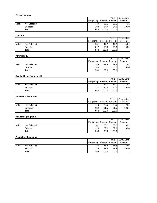| Not Selected<br>Selected<br>Not Selected<br>Selected<br>Not Selected<br>Selected<br>Availability of financial aid<br>Not Selected<br>Selected<br><b>Admission standards</b> | Frequency<br>Percent<br>Percent<br>Percent<br>370<br>65.1<br>65.1<br>65.1<br>198<br>34.9<br>34.9<br>100.0<br>568<br>100.0<br>100.0<br>Valid<br>Cumulative<br>Frequency<br>Percent<br>Percent<br>Percent<br>251<br>44.2<br>44.2<br>44.2<br>55.8<br>317<br>55.8<br>100.0<br>568<br>100.0<br>100.0<br>Valid<br>Cumulative<br>Percent<br>Frequency<br>Percent<br>Percent<br>283<br>49.8<br>49.8<br>49.8<br>285<br>50.2<br>50.2<br>100.0<br>568<br>100.0<br>100.0<br>Valid<br>Cumulative<br>Frequency<br>Percent<br>Percent<br>Percent<br>381<br>67.1<br>67.1<br>67.1<br>32.9<br>187<br>32.9<br>100.0<br>568<br>100.0<br>100.0 |
|-----------------------------------------------------------------------------------------------------------------------------------------------------------------------------|---------------------------------------------------------------------------------------------------------------------------------------------------------------------------------------------------------------------------------------------------------------------------------------------------------------------------------------------------------------------------------------------------------------------------------------------------------------------------------------------------------------------------------------------------------------------------------------------------------------------------|
|                                                                                                                                                                             |                                                                                                                                                                                                                                                                                                                                                                                                                                                                                                                                                                                                                           |
|                                                                                                                                                                             |                                                                                                                                                                                                                                                                                                                                                                                                                                                                                                                                                                                                                           |
|                                                                                                                                                                             |                                                                                                                                                                                                                                                                                                                                                                                                                                                                                                                                                                                                                           |
|                                                                                                                                                                             |                                                                                                                                                                                                                                                                                                                                                                                                                                                                                                                                                                                                                           |
|                                                                                                                                                                             |                                                                                                                                                                                                                                                                                                                                                                                                                                                                                                                                                                                                                           |
|                                                                                                                                                                             |                                                                                                                                                                                                                                                                                                                                                                                                                                                                                                                                                                                                                           |
|                                                                                                                                                                             |                                                                                                                                                                                                                                                                                                                                                                                                                                                                                                                                                                                                                           |
|                                                                                                                                                                             |                                                                                                                                                                                                                                                                                                                                                                                                                                                                                                                                                                                                                           |
|                                                                                                                                                                             |                                                                                                                                                                                                                                                                                                                                                                                                                                                                                                                                                                                                                           |
|                                                                                                                                                                             |                                                                                                                                                                                                                                                                                                                                                                                                                                                                                                                                                                                                                           |
|                                                                                                                                                                             |                                                                                                                                                                                                                                                                                                                                                                                                                                                                                                                                                                                                                           |
|                                                                                                                                                                             |                                                                                                                                                                                                                                                                                                                                                                                                                                                                                                                                                                                                                           |
|                                                                                                                                                                             |                                                                                                                                                                                                                                                                                                                                                                                                                                                                                                                                                                                                                           |
|                                                                                                                                                                             |                                                                                                                                                                                                                                                                                                                                                                                                                                                                                                                                                                                                                           |
|                                                                                                                                                                             |                                                                                                                                                                                                                                                                                                                                                                                                                                                                                                                                                                                                                           |
|                                                                                                                                                                             |                                                                                                                                                                                                                                                                                                                                                                                                                                                                                                                                                                                                                           |
|                                                                                                                                                                             |                                                                                                                                                                                                                                                                                                                                                                                                                                                                                                                                                                                                                           |
|                                                                                                                                                                             |                                                                                                                                                                                                                                                                                                                                                                                                                                                                                                                                                                                                                           |
|                                                                                                                                                                             |                                                                                                                                                                                                                                                                                                                                                                                                                                                                                                                                                                                                                           |
|                                                                                                                                                                             |                                                                                                                                                                                                                                                                                                                                                                                                                                                                                                                                                                                                                           |
|                                                                                                                                                                             | Valid<br>Cumulative                                                                                                                                                                                                                                                                                                                                                                                                                                                                                                                                                                                                       |
|                                                                                                                                                                             | Frequency<br>Percent<br>Percent<br>Percent                                                                                                                                                                                                                                                                                                                                                                                                                                                                                                                                                                                |
| Not Selected                                                                                                                                                                | 78.5<br>446<br>78.5<br>78.5                                                                                                                                                                                                                                                                                                                                                                                                                                                                                                                                                                                               |
| Selected                                                                                                                                                                    | 122<br>21.5<br>100.0<br>21.5<br>568<br>100.0<br>100.0                                                                                                                                                                                                                                                                                                                                                                                                                                                                                                                                                                     |
|                                                                                                                                                                             |                                                                                                                                                                                                                                                                                                                                                                                                                                                                                                                                                                                                                           |
| <b>Academic programs</b>                                                                                                                                                    | Valid<br>Cumulative                                                                                                                                                                                                                                                                                                                                                                                                                                                                                                                                                                                                       |
|                                                                                                                                                                             | Frequency Percent Percent<br>Percent                                                                                                                                                                                                                                                                                                                                                                                                                                                                                                                                                                                      |
|                                                                                                                                                                             | 60.2<br>342<br>60.2<br>60.2                                                                                                                                                                                                                                                                                                                                                                                                                                                                                                                                                                                               |
| Selected                                                                                                                                                                    | 39.8<br>226<br>39.8<br>100.0                                                                                                                                                                                                                                                                                                                                                                                                                                                                                                                                                                                              |
|                                                                                                                                                                             | 568<br>100.0<br>100.0                                                                                                                                                                                                                                                                                                                                                                                                                                                                                                                                                                                                     |
| <b>Flexibility of schedule</b>                                                                                                                                              | Valid<br>Cumulative                                                                                                                                                                                                                                                                                                                                                                                                                                                                                                                                                                                                       |
|                                                                                                                                                                             | Percent<br>Frequency<br>Percent<br>Percent                                                                                                                                                                                                                                                                                                                                                                                                                                                                                                                                                                                |
| <b>Not Selected</b>                                                                                                                                                         | 58.6<br>333<br>58.6<br>58.6                                                                                                                                                                                                                                                                                                                                                                                                                                                                                                                                                                                               |
|                                                                                                                                                                             | 41.4<br>100.0<br>235<br>41.4<br>568<br>100.0<br>100.0                                                                                                                                                                                                                                                                                                                                                                                                                                                                                                                                                                     |
|                                                                                                                                                                             | Not Selected<br>Selected                                                                                                                                                                                                                                                                                                                                                                                                                                                                                                                                                                                                  |

|       |              | Frequency | Percent | Valid<br>Percent | Cumulative<br>Percent |
|-------|--------------|-----------|---------|------------------|-----------------------|
| Valid | Not Selected | 251       | 44.2    | 44.2             | 44.2                  |
|       | Selected     | 317       | 55.8    | 55.8             | 100.0                 |
|       | Total        | 568       | 100.0   | 100.0            |                       |

# **Affordability**

|       |              |           |       | Valid           | Cumulative |
|-------|--------------|-----------|-------|-----------------|------------|
|       |              | Frequency |       | Percent Percent | Percent    |
| Valid | Not Selected | 283       | 49.8  | 49.8            | 49.8       |
|       | Selected     | 285       | 50.2  | 50.2            | 100.0      |
|       | Total        | 568       | 100.0 | 100.0           |            |

# **Availability of financial aid**

|       |              |           |         | Valid   | Cumulative |
|-------|--------------|-----------|---------|---------|------------|
|       |              | Frequency | Percent | Percent | Percent    |
| Valid | Not Selected | 381       | 67.1    | 67.1    | 67.1       |
|       | Selected     | 187       | 32.9    | 32.9    | 100.0      |
|       | Total        | 568       | 100.0   | 100.0   |            |

# **Admission standards**

|       |              |           |                 | Valid | Cumulative |
|-------|--------------|-----------|-----------------|-------|------------|
|       |              | Frequency | Percent Percent |       | Percent    |
| Valid | Not Selected | 446       | 78.5            | 78.5  | 78.5       |
|       | Selected     | 122       | 21.5            | 21.5  | 100.0      |
|       | Total        | 568       | 100.0           | 100.0 |            |

# **Academic programs**

|       |              |           |            | Valid   | Cumulative |
|-------|--------------|-----------|------------|---------|------------|
|       |              | Frequency | Percent  ' | Percent | Percent    |
| Valid | Not Selected | 342       | 60.2       | 60.2    | 60.2       |
|       | Selected     | 226       | 39.8       | 39.8    | 100.0      |
|       | Total        | 568       | 100.0      | 100.0   |            |

# **Flexibility of schedule**

|       |              |           |                 | Valid | Cumulative |
|-------|--------------|-----------|-----------------|-------|------------|
|       |              | Frequency | Percent Percent |       | Percent    |
| Valid | Not Selected | 333       | 58.6            | 58.6  | 58.6       |
|       | Selected     | 235       | 41.4            | 41.4  | 100.0      |
|       | Total        | 568       | 100.0           | 100.0 |            |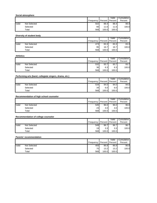|                         |                                                         | Frequency | Percent      | Valid<br>Percent | Cumulative<br>Percent       |
|-------------------------|---------------------------------------------------------|-----------|--------------|------------------|-----------------------------|
| Valid                   | Not Selected                                            | 502       | 88.4         | 88.4             | 88.4                        |
|                         | Selected                                                | 66        | 11.6         | 11.6             | 100.0                       |
|                         | Total                                                   | 568       | 100.0        | 100.0            |                             |
|                         | Diversity of student body                               |           |              |                  |                             |
|                         |                                                         | Frequency | Percent      | Valid<br>Percent | Cumulative<br>Percent       |
| Valid                   | Not Selected                                            | 473       | 83.3         | 83.3             | 83.3                        |
|                         | Selected                                                | 95        | 16.7         | 16.7             | 100.0                       |
|                         | Total                                                   | 568       | 100.0        | 100.0            |                             |
| <b>Athletics</b>        |                                                         |           |              |                  |                             |
|                         |                                                         | Frequency | Percent      | Valid<br>Percent | Cumulative<br>Percent       |
| Valid                   | Not Selected                                            | 532       | 93.7         | 93.7             | 93.7                        |
|                         | Selected                                                | 36        | 6.3          | 6.3              | 100.0                       |
|                         | Total                                                   | 568       | 100.0        | 100.0            |                             |
|                         | Performing arts (band, collegiate singers, drama, etc.) |           |              |                  |                             |
|                         |                                                         |           |              | Valid            | Cumulative                  |
|                         |                                                         | Frequency | Percent      | Percent          | Percent                     |
| Valid                   | Not Selected                                            | 534       | 94.0         | 94.0             | 94.0                        |
|                         | Selected<br>Total                                       | 34<br>568 | 6.0<br>100.0 | 6.0<br>100.0     | 100.0                       |
|                         |                                                         |           |              |                  |                             |
|                         |                                                         |           |              |                  |                             |
|                         | Recommendation of high school counselor                 |           |              | Valid            |                             |
|                         |                                                         | Frequency | Percent      | Percent          | Percent                     |
|                         | <b>Not Selected</b>                                     | 545       | 96.0         | 96.0             |                             |
|                         | Selected                                                | 23        | 4.0          | 4.0              | Cumulative<br>96.0<br>100.0 |
|                         | Total                                                   | 568       | 100.0        | 100.0            |                             |
|                         | Recommendation of college counselor                     |           |              | Valid            |                             |
|                         |                                                         | Frequency |              | Percent Percent  | Percent                     |
|                         | <b>Not Selected</b>                                     | 549       | 96.7         | 96.7             |                             |
|                         | Selected                                                | 19        | 3.3          | 3.3              | Cumulative<br>96.7<br>100.0 |
|                         | Total                                                   | 568       | 100.0        | 100.0            |                             |
|                         | Parents' recommendation                                 |           |              | Valid            | Cumulative                  |
|                         |                                                         | Frequency | Percent      | Percent          | Percent                     |
| Valid<br>Valid<br>Valid | <b>Not Selected</b><br>Selected                         | 493<br>75 | 86.8<br>13.2 | 86.8<br>13.2     | 86.8<br>100.0               |

# **Diversity of student body**

|       |              |           |           | Valid   | Cumulative |
|-------|--------------|-----------|-----------|---------|------------|
|       |              | Frequency | Percent I | Percent | Percent    |
| Valid | Not Selected | 473       | 83.3      | 83.3    | 83.3       |
|       | Selected     | 95        | 16.7      | 16.7    | 100.0      |
|       | $\tau$ otal  | 568       | 100.0     | 100.0   |            |

# **Athletics**

|       |              |           |       | Valid           | Cumulative |
|-------|--------------|-----------|-------|-----------------|------------|
|       |              | Frequency |       | Percent Percent | Percent    |
| Valid | Not Selected | 532       | 93.7  | 93.7            | 93.7       |
|       | Selected     | 36        | 6.3   | 6.3             | 100.0      |
|       | Total        | 568       | 100.0 | 100.0           |            |

# **Performing arts (band, collegiate singers, drama, etc.)**

|       |              |                 |                  | Valid | Cumulative |
|-------|--------------|-----------------|------------------|-------|------------|
|       |              | Frequency       | Percent Percent  |       | Percent    |
| Valid | Not Selected | 534             | 94.0             | 94.0  | 94.0       |
|       | Selected     | 34 <sub>l</sub> | 6.0 <sub>l</sub> | 6.0   | 100.0      |
|       | Total        | 568             | 100.0            | 100.0 |            |

# **Recommendation of high school counselor**

|       |              |           |                 | Valid | Cumulative |
|-------|--------------|-----------|-----------------|-------|------------|
|       |              | Frequency | Percent Percent |       | Percent    |
| Valid | Not Selected | 545       | 96.0            | 96.0  | 96.0       |
|       | Selected     | 23        | 4.0             | 4.01  | 100.0      |
|       | Total        | 568       | 100.0           | 100.0 |            |

# **Recommendation of college counselor**

|       |              |           |                  | Valid   | Cumulative |
|-------|--------------|-----------|------------------|---------|------------|
|       |              | Frequency | Percent          | Percent | Percent    |
| Valid | Not Selected | 549       | 96.7             | 96.7    | 96.7       |
|       | Selected     | 19        | 3.3 <sub>l</sub> | 3.3     | 100.0      |
|       | Total        | 568       | 100.0            | 100.0   |            |

#### **Parents' recommendation**

|       |              |           |         | Valid     | Cumulative |
|-------|--------------|-----------|---------|-----------|------------|
|       |              | Frequency | Percent | Percent I | Percent    |
| Valid | Not Selected | 493       | 86.8    | 86.8      | 86.8       |
|       | Selected     | 751       | 13.2    | 13.2      | 100.0      |
|       | Total        | 568       | 100.0   | 100.0     |            |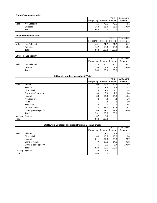# **Friends' recommendation**

|       |              |                               |       | Valid | Cumulative |
|-------|--------------|-------------------------------|-------|-------|------------|
|       |              | Frequency   Percent   Percent |       |       | Percent    |
| Valid | Not Selected | 415                           | 73.1  | 73.1  | 73.1       |
|       | Selected     | 153                           | 26.9  | 26.9  | 100.0      |
|       | Total        | 568                           | 100.0 | 100.0 |            |

# **Alumni recommendation**

|       |              |           |       | Valid           | Cumulative |
|-------|--------------|-----------|-------|-----------------|------------|
|       |              | Frequency |       | Percent Percent | Percent    |
| Valid | Not Selected | 461       | 81.2  | 81.2            | 81.2       |
|       | Selected     | 107       | 18.8  | 18.8            | 100.0      |
|       | Total        | 568       | 100.0 | 100.0           |            |

# **Other (please specify)**

|       |              |           |                 | Valid            | Cumulative I |
|-------|--------------|-----------|-----------------|------------------|--------------|
|       |              | Frequency | Percent Percent |                  | Percent      |
| Valid | Not Selected | 515       | 90.7            | 90.7             | 90.7         |
|       | Selected     | 53        | 9.31            | 9.3 <sub>l</sub> | 100.0        |
|       | Total        | 568       | 100.0           | 100.0            |              |

| Valid   |                           | Frequency                                                 | Percent          | Valid<br>Percent | Cumulative<br>Percent |
|---------|---------------------------|-----------------------------------------------------------|------------------|------------------|-----------------------|
|         | Not Selected              | 415                                                       | 73.1             | 73.1             | 73.1                  |
|         | Selected                  | 153                                                       | 26.9             | 26.9             | 100.0                 |
|         | Total                     | 568                                                       | 100.0            | 100.0            |                       |
|         | Alumni recommendation     |                                                           |                  |                  |                       |
|         |                           | Frequency                                                 | Percent          | Valid<br>Percent | Cumulative<br>Percent |
| Valid   | Not Selected              | 461                                                       | 81.2             | 81.2             | 81.2                  |
|         | Selected                  | 107                                                       | 18.8             | 18.8             | 100.0                 |
|         | Total                     | 568                                                       | 100.0            | 100.0            |                       |
|         | Other (please specify)    |                                                           |                  |                  |                       |
|         |                           | Frequency                                                 | Percent          | Valid<br>Percent | Cumulative<br>Percent |
| Valid   | Not Selected              | 515                                                       | 90.7             | 90.7             | 90.7                  |
|         | Selected                  | 53                                                        | 9.3              | 9.3              | 100.0                 |
|         | Total                     | 568                                                       | 100.0            | 100.0            |                       |
|         |                           | 13) How did you first learn about TROY?                   |                  |                  |                       |
|         |                           |                                                           |                  | Valid            | Cumulative            |
|         |                           | Frequency                                                 | Percent          | Percent          | Percent               |
| Valid   | Alumni<br>Billboard       | 102                                                       | 18.0<br>8<br>1.4 | 19.2<br>1.5      | 19.2<br>20.7          |
|         | <b>Direct Mail</b>        |                                                           | 1.6<br>9         | 1.7              | 22.4                  |
|         | <b>Guidance Counselor</b> | 39                                                        | 6.9              | 7.3              | 29.8                  |
|         | Internet                  | 83                                                        | 14.6             | 15.6             | 45.4                  |
|         | Newspaper                 |                                                           | 2<br>.4          | .4               | 45.8                  |
|         | Radio                     |                                                           | $\cdot$<br>1     | $\cdot$          | 46.0                  |
|         | Television                | 14                                                        | 2.5              | 2.6              | 48.6                  |
|         | Word of mouth             | 210                                                       | 37.0             | 39.5             | 88.1                  |
|         | Other (please specify)    | 63                                                        | 11.1             | 11.9             | 100.0                 |
|         | Total                     | 531                                                       | 93.5             | 100.0            |                       |
| Missing | System                    | 37                                                        | 6.5              |                  |                       |
| Total   |                           | 568                                                       | 100.0            |                  |                       |
|         |                           | 14) How did you learn about registration dates and times? |                  |                  |                       |
|         |                           | Frequency                                                 | Percent          | Valid<br>Percent | Cumulative<br>Percent |
| Valid   | Billboard                 |                                                           | 1.2<br>7         | 1.3              | 1.3                   |
|         | <b>Direct Mail</b>        | 88                                                        | 15.5             | 16.6             | 18.0                  |
|         | Internet                  | 311                                                       | 54.8             | 58.8             | 76.7                  |
|         | Word of mouth             | 77                                                        | 13.6             | 14.6             | 91.3                  |
|         | Other (please specify)    | 46                                                        | 8.1              | 8.7              | 100.0                 |
|         | Total                     | 529<br>39                                                 | 93.1<br>6.9      | 100.0            |                       |
| Missing | System                    |                                                           |                  |                  |                       |

|  |  | 14) How did you learn about registration dates and times? |  |  |
|--|--|-----------------------------------------------------------|--|--|
|  |  |                                                           |  |  |

|         |                        |                 |         | Valid   | Cumulative |
|---------|------------------------|-----------------|---------|---------|------------|
|         |                        | Frequency       | Percent | Percent | Percent    |
| Valid   | <b>Billboard</b>       |                 | 1.2     | 1.3     | 1.3        |
|         | <b>Direct Mail</b>     | 88              | 15.5    | 16.6    | 18.0       |
|         | Internet               | 311             | 54.8    | 58.8    | 76.7       |
|         | Word of mouth          | 77 I            | 13.6    | 14.6    | 91.3       |
|         | Other (please specify) | 46              | 8.1     | 8.7     | 100.0      |
|         | Total                  | 529             | 93.1    | 100.0   |            |
| Missing | System                 | 39 <sub>l</sub> | 6.9     |         |            |
| Total   |                        | 568             | 100.0   |         |            |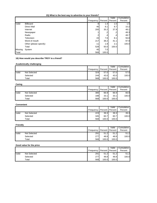|                                                          |                                              | Frequency        | Percent       | Valid<br>Percent | Cumulative<br>Percent                                               |
|----------------------------------------------------------|----------------------------------------------|------------------|---------------|------------------|---------------------------------------------------------------------|
| Valid                                                    | <b>Billboard</b>                             | 8                | 1.4           | 1.5              | 1.5                                                                 |
|                                                          | <b>Direct Mail</b>                           | 46               | 8.1           | 8.7              | 10.2                                                                |
|                                                          | Internet                                     | 200              | 35.2          | 37.9             | 48.1                                                                |
|                                                          | Newspaper                                    | 1                | $.2\,$        | $\cdot$          | 48.3                                                                |
|                                                          | Radio                                        | 2                | .4            | .4               | 48.7                                                                |
|                                                          | Television                                   | 43               | 7.6           | 8.1              | 56.8                                                                |
|                                                          | Word of mouth                                | 217              | 38.2          | 41.1             | 97.9                                                                |
|                                                          | Other (please specify)                       | 11               | 1.9           | 2.1              | 100.0                                                               |
|                                                          | Total                                        | 528              | 93.0          | 100.0            |                                                                     |
| Missing<br>Total                                         | System                                       | 40<br>568        | 7.0<br>100.0  |                  |                                                                     |
|                                                          | 16) How would you describe TROY to a friend? |                  |               |                  |                                                                     |
|                                                          | <b>Academically challenging</b>              |                  |               | Valid            | Cumulative                                                          |
| Valid                                                    | Not Selected                                 | Frequency<br>324 | Percent       | Percent          | Percent<br>57.0                                                     |
|                                                          | Selected                                     | 244              | 57.0<br>43.0  | 57.0             |                                                                     |
|                                                          | Total                                        | 568              | 100.0         | 43.0<br>100.0    | 100.0                                                               |
| Caring                                                   |                                              |                  |               |                  |                                                                     |
|                                                          |                                              |                  |               | Valid            | Cumulative                                                          |
| Valid                                                    |                                              | Frequency        | Percent       | Percent          | Percent                                                             |
|                                                          | Not Selected                                 | 380              | 66.9          | 66.9             | 66.9                                                                |
|                                                          |                                              |                  |               |                  |                                                                     |
|                                                          | Selected<br>Total                            | 188              | 33.1          | 33.1             |                                                                     |
|                                                          |                                              | 568              | 100.0         | 100.0            |                                                                     |
|                                                          |                                              |                  |               | Valid            |                                                                     |
|                                                          |                                              | Frequency        | Percent       | Percent          | Percent                                                             |
|                                                          | Not Selected                                 | 223              | 39.3          | 39.3             |                                                                     |
|                                                          | Selected                                     | 345              | 60.7          | 60.7             |                                                                     |
|                                                          | Total                                        | 568              | 100.0         | 100.0            |                                                                     |
|                                                          |                                              |                  |               | Valid            |                                                                     |
|                                                          |                                              | Frequency        | Percent       | Percent          | Percent                                                             |
|                                                          | <b>Not Selected</b>                          | 291              | 51.2          | 51.2             |                                                                     |
|                                                          | Selected<br>Total                            | 277<br>568       | 48.8<br>100.0 | 48.8<br>100.0    |                                                                     |
|                                                          | Good value for the price                     |                  |               |                  | 100.0<br>Cumulative<br>39.3<br>100.0<br>Cumulative<br>51.2<br>100.0 |
|                                                          |                                              | Frequency        | Percent       | Valid<br>Percent | Percent                                                             |
|                                                          | Not Selected                                 | 291              | 51.2          | 51.2             | Cumulative<br>51.2                                                  |
| <b>Convenient</b><br>Valid<br>Friendly<br>Valid<br>Valid | Selected                                     | 277              | 48.8          | 48.8             | 100.0                                                               |

# **15) What is the best way to advertise to your friends?**

# **16) How would you describe TROY to a friend?**

# **Academically challenging**

|       |              |           |         | Valid          | Cumulative |
|-------|--------------|-----------|---------|----------------|------------|
|       |              | Frequency | Percent | <b>Percent</b> | Percent    |
| Valid | Not Selected | 324       | 57.0    | 57.0           | 57.0       |
|       | Selected     | 244       | 43.0    | 43.0           | 100.0      |
|       | $\tau$ otal  | 568       | 100.0   | 100.0          |            |

# **Caring**

|       |              |             |                   | Valid           | Cumulative |
|-------|--------------|-------------|-------------------|-----------------|------------|
|       |              | Frequency I |                   | Percent Percent | Percent    |
| Valid | Not Selected | 380         | 66.9              | 66.9            | 66.9       |
|       | Selected     | 188         | 33.1 <sub>1</sub> | 33.1            | 100.0      |
|       | Total        | 568         | 100.0             | 100.0           |            |

# **Convenient**

|       |                     |           |         | Valid   | Cumulative |
|-------|---------------------|-----------|---------|---------|------------|
|       |                     | Frequency | Percent | Percent | Percent    |
| Valid | <b>Not Selected</b> | 223       | 39.3    | 39.3    | 39.3       |
|       | Selected            | 345       | 60.7    | 60.7    | 100.0      |
|       | Total               | 568       | 100.0   | 100.0   |            |

# **Friendly**

|       |              |           |       | Valid           | Cumulative |
|-------|--------------|-----------|-------|-----------------|------------|
|       |              | Frequency |       | Percent Percent | Percent    |
| Valid | Not Selected | 291       | 51.2  | 51.2            | 51.2       |
|       | Selected     | 277       | 48.8  | 48.8            | 100.0      |
|       | $\tau$ otal  | 568       | 100.0 | 100.0           |            |

### **Good value for the price**

|       |              |           |         | Valid   | Cumulative |
|-------|--------------|-----------|---------|---------|------------|
|       |              | Frequency | Percent | Percent | Percent    |
| Valid | Not Selected | 291       | 51.2    | 51.2    | 51.2       |
|       | Selected     | 277       | 48.8    | 48.8    | 100.0      |
|       | Total        | 568       | 100.0   | 100.0   |            |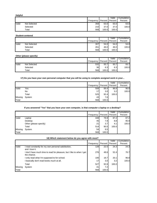| <b>Helpful</b> |              |                               |       |       |            |
|----------------|--------------|-------------------------------|-------|-------|------------|
|                |              |                               |       | Valid | Cumulative |
|                |              | Frequency   Percent   Percent |       |       | Percent    |
| Valid          | Not Selected | 358                           | 63.0  | 63.0  | 63.0       |
|                | Selected     | 210                           | 37.0  | 37.0  | 100.0      |
|                | Total        | 568                           | 100.0 | 100.0 |            |

|       |              |           |         | Valid   | Cumulative |
|-------|--------------|-----------|---------|---------|------------|
|       |              | Frequency | Percent | Percent | Percent    |
| Valid | Not Selected | 307       | 54.0    | 54.0    | 54.0       |
|       | Selected     | 261       | 46.0    | 46.0    | 100.0      |
|       | $\tau$ otal  | 568       | 100.0   | 100.0   |            |

# **Other (please specify)**

|       |              |           |                 | Valid | Cumulative |
|-------|--------------|-----------|-----------------|-------|------------|
|       |              | Frequency | Percent Percent |       | Percent    |
| Valid | Not Selected | 532       | 93.7            | 93.7  | 93.7       |
|       | Selected     | 36        | 6.3             | 6.3   | 100.0      |
|       | Total        | 568       | 100.0           | 100.0 |            |

|         |        |                 |       | Valid             | Cumulative |
|---------|--------|-----------------|-------|-------------------|------------|
|         |        | Frequency       |       | Percent   Percent | Percent    |
| Valid   | Yes    | 508             | 89.4  | 96.8              | 96.8       |
|         | No     | 17 <sub>1</sub> | 3.0   | 3.2               | 100.0      |
|         | Total  | 525             | 92.4  | 100.0             |            |
| Missing | System | 43              | 7.6   |                   |            |
| Total   |        | 568             | 100.0 |                   |            |

# **If you answered "Yes" that you have your own computer, is that computer a laptop or a desktop?**

|         |                        |           |                 | Valid | Cumulative |
|---------|------------------------|-----------|-----------------|-------|------------|
|         |                        | Frequency | Percent Percent |       | Percent    |
| Valid   | Laptop                 | 448       | 78.9            | 87.2  | 87.2       |
|         | Desktop                | 45        | 7.9             | 8.8   | 95.9       |
|         | Other (please specify) | 211       | 3.7             | 4.1   | 100.0      |
|         | Total                  | 514       | 90.5            | 100.0 |            |
| Missing | System                 | 54        | 9.5             |       |            |
| Total   |                        | 568       | 100.0           |       |            |

| 18) Which statement below do you agree with most? |  |
|---------------------------------------------------|--|
|                                                   |  |

|                                                        |                                                                                                     | Frequency        | Percent      | Valid<br>Percent | Cumulative<br>Percent                                                              |
|--------------------------------------------------------|-----------------------------------------------------------------------------------------------------|------------------|--------------|------------------|------------------------------------------------------------------------------------|
| Valid                                                  | Not Selected                                                                                        | 358              | 63.0         | 63.0             | 63.0                                                                               |
|                                                        | Selected                                                                                            | 210              | 37.0         | 37.0             | 100.0                                                                              |
|                                                        | Total                                                                                               | 568              | 100.0        | 100.0            |                                                                                    |
|                                                        | <b>Student-centered</b>                                                                             |                  |              |                  |                                                                                    |
|                                                        |                                                                                                     | Frequency        | Percent      | Valid<br>Percent | Cumulative<br>Percent                                                              |
| Valid                                                  | <b>Not Selected</b>                                                                                 | 307              | 54.0         | 54.0             | 54.0                                                                               |
|                                                        | Selected                                                                                            | 261              | 46.0         | 46.0             | 100.0                                                                              |
|                                                        | Total                                                                                               | 568              | 100.0        | 100.0            |                                                                                    |
|                                                        | Other (please specify)                                                                              |                  |              |                  |                                                                                    |
|                                                        |                                                                                                     |                  |              | Valid            | Cumulative                                                                         |
|                                                        | Not Selected                                                                                        | Frequency        | Percent      | Percent          | Percent                                                                            |
| Valid                                                  |                                                                                                     | 532              | 93.7         | 93.7             | 93.7                                                                               |
|                                                        | Selected<br>Total                                                                                   | 36<br>568        | 6.3<br>100.0 | 6.3<br>100.0     | 100.0                                                                              |
|                                                        | 17) Do you have your own personal computer that you will be using to complete assigned work in your | Frequency        | Percent      | Valid<br>Percent | Cumulative<br>Percent                                                              |
|                                                        |                                                                                                     |                  |              |                  |                                                                                    |
|                                                        |                                                                                                     |                  |              |                  |                                                                                    |
|                                                        | Yes<br>No                                                                                           | 508<br>17        | 89.4         | 96.8<br>3.2      |                                                                                    |
|                                                        | Total                                                                                               | 525              | 3.0<br>92.4  | 100.0            |                                                                                    |
|                                                        | System                                                                                              | 43               | 7.6          |                  |                                                                                    |
|                                                        | If you answered "Yes" that you have your own computer, is that computer a laptop or a desktop?      | 568              | 100.0        |                  | 96.8<br>100.0                                                                      |
|                                                        |                                                                                                     |                  | Percent      | Valid<br>Percent | Percent                                                                            |
|                                                        | Laptop                                                                                              | Frequency<br>448 | 78.9         | 87.2             |                                                                                    |
|                                                        | Desktop                                                                                             | 45               | 7.9          | 8.8              |                                                                                    |
|                                                        | Other (please specify)                                                                              | 21               | 3.7          | 4.1              |                                                                                    |
|                                                        | Total                                                                                               | 514              | 90.5         | 100.0            |                                                                                    |
|                                                        | System                                                                                              | 54               | 9.5          |                  |                                                                                    |
|                                                        |                                                                                                     | 568              | 100.0        |                  |                                                                                    |
| Valid<br>Missing<br>Total<br>Valid<br>Missing<br>Total | 18) Which statement below do you agree with most?                                                   |                  |              | Valid            |                                                                                    |
|                                                        |                                                                                                     | Frequency        | Percent      | Percent          | Percent                                                                            |
| Valid                                                  | I read constantly for my own personal satisfaction,<br>and I love it.                               | 128              | 22.5         | 24.3             |                                                                                    |
|                                                        | I don't have much time to read for pleasure, but I like to when I get<br>the chance.                | 276              | 48.6         | 52.4             |                                                                                    |
|                                                        | I only read what I'm supposed to for school.                                                        | 106              | 18.7         | 20.1             |                                                                                    |
|                                                        | I basically don't read books much at all.                                                           | 17               | 3.0          | 3.2              |                                                                                    |
|                                                        | Total                                                                                               | 527              | 92.8         | 100.0            |                                                                                    |
| Missing<br>Total                                       | System                                                                                              | 41<br>568        | 7.2<br>100.0 |                  | Cumulative<br>87.2<br>95.9<br>100.0<br>Cumulative<br>24.3<br>76.7<br>96.8<br>100.0 |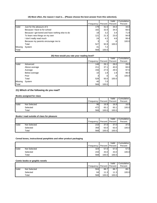|                                    |                                                                            |                  |                 | Valid            | Cumulative            |
|------------------------------------|----------------------------------------------------------------------------|------------------|-----------------|------------------|-----------------------|
| Valid                              | Just for the pleasure of it                                                | Frequency<br>179 | Percent<br>31.5 | Percent<br>34.0  | Percent<br>34.0       |
|                                    | Because I have to for school                                               | 182              | 32.0            | 34.5             | 68.5                  |
|                                    | Because I get bored and have nothing else to do                            | 18               | 3.2             | 3.4              | 71.9                  |
|                                    | To learn new things on my own                                              | 121              | 21.3            | 23.0             | 94.9                  |
|                                    | I don't really read much                                                   | 24               | 4.2             | 4.6              | 99.4                  |
|                                    | Because my parents encourage me to                                         | 3                | $.5\,$          | .6               | 100.0                 |
|                                    | Total                                                                      | 527              | 92.8            | 100.0            |                       |
| Missing                            | System                                                                     | 41               | 7.2             |                  |                       |
| Total                              |                                                                            | 568              | 100.0           |                  |                       |
|                                    | 20) How would you rate your reading level?                                 |                  |                 |                  |                       |
|                                    |                                                                            | Frequency        | Percent         | Valid<br>Percent | Cumulative<br>Percent |
| Valid                              | Advanced                                                                   | 148              | 26.1            | 28.0             | 28.0                  |
|                                    | Above average                                                              | 211              | 37.1            | 40.0             | 68.0                  |
|                                    | Average                                                                    | 156              | 27.5            | 29.5             | 97.5                  |
|                                    | Below average                                                              | 10               | 1.8             | 1.9              | 99.4                  |
|                                    | Poor                                                                       | 3                | $.5\,$          | .6               | 100.0                 |
|                                    | Total                                                                      | 528              | 93.0            | 100.0            |                       |
|                                    | System                                                                     | 40               | 7.0             |                  |                       |
|                                    |                                                                            |                  | 100.0           |                  |                       |
|                                    | 21) Which of the following do you read?                                    | 568              |                 |                  |                       |
|                                    | <b>Books assigned for class</b>                                            | Frequency        | Percent         | Valid<br>Percent | Percent               |
|                                    | Not Selected                                                               | 96               | 16.9            | 16.9             |                       |
|                                    | Selected                                                                   | 472              | 83.1            | 83.1             |                       |
|                                    | Total                                                                      | 568              | 100.0           | 100.0            | Cumulative            |
|                                    | Books I read outside of class for pleasure                                 |                  |                 |                  | 16.9<br>100.0         |
|                                    |                                                                            | Frequency        | Percent         | Valid<br>Percent | Cumulative<br>Percent |
|                                    | <b>Not Selected</b>                                                        | 210              | 37.0            | 37.0             |                       |
|                                    | Selected                                                                   | 358              | 63.0            | 63.0             | 37.0<br>100.0         |
| Missing<br>Total<br>Valid<br>Valid | Total<br>Cereal boxes, instructional pamphlets and other product packaging | 568              | 100.0           | 100.0            |                       |
|                                    |                                                                            | Frequency        | Percent         | Valid<br>Percent | Percent               |
|                                    | Not Selected                                                               | 324              | 57.0            | 57.0             |                       |
|                                    | Selected                                                                   | 244              | 43.0            | 43.0             |                       |
|                                    | Total                                                                      | 568              | 100.0           | 100.0            | Cumulative            |
|                                    | Comic books or graphic novels                                              |                  |                 |                  | 57.0<br>100.0         |
|                                    |                                                                            |                  | Percent         | Valid            | Cumulative<br>Percent |
|                                    |                                                                            | Frequency        |                 | Percent          |                       |
| Valid<br>Valid                     | Not Selected<br>Selected                                                   | 504<br>64        | 88.7<br>11.3    | 88.7<br>11.3     | 88.7<br>100.0         |

# **19) Most often, the reason I read is… (Please choose the best answer from this selection).**

# **20) How would you rate your reading level?**

|         |               |                 |                  | Valid           | Cumulative |
|---------|---------------|-----------------|------------------|-----------------|------------|
|         |               | Frequency       |                  | Percent Percent | Percent    |
| Valid   | Advanced      | 148             | 26.1             | 28.0            | 28.0       |
|         | Above average | 211             | 37.1             | 40.0            | 68.0       |
|         | Average       | 1561            | 27.5             | 29.5            | 97.5       |
|         | Below average | 10 <sup>1</sup> | 1.8              | 1.9             | 99.4       |
|         | Poor          | 3 <sub>l</sub>  | $.5\,$           | .6              | 100.0      |
|         | Total         | 528             | 93.0             | 100.0           |            |
| Missing | System        | 40              | 7.0 <sub>l</sub> |                 |            |
| Total   |               | 568             | 100.0            |                 |            |

# **21) Which of the following do you read?**

# **Books assigned for class**

|       |              |           |         | Valid   | Cumulative |
|-------|--------------|-----------|---------|---------|------------|
|       |              | Frequency | Percent | Percent | Percent    |
| Valid | Not Selected | 96        | 16.9    | 16.9    | 16.9       |
|       | Selected     | 472       | 83.1    | 83.1    | 100.0      |
|       | Total        | 568       | 100.0   | 100.0   |            |

#### **Books I read outside of class for pleasure**

|       |              |           |       | Valid             | Cumulative |
|-------|--------------|-----------|-------|-------------------|------------|
|       |              | Frequency |       | Percent   Percent | Percent    |
| Valid | Not Selected | 210       | 37.0  | 37.0              | 37.0       |
|       | Selected     | 358       | 63.0  | 63.0              | 100.0      |
|       | Total        | 568       | 100.0 | 100.0             |            |

# **Cereal boxes, instructional pamphlets and other product packaging**

|       |              |           |       | Valid             | Cumulative |
|-------|--------------|-----------|-------|-------------------|------------|
|       |              | Frequency |       | Percent   Percent | Percent    |
| Valid | Not Selected | 324       | 57.0  | 57.0              | 57.0       |
|       | Selected     | 244       | 43.0  | 43.0              | 100.0      |
|       | Total        | 568       | 100.0 | 100.0             |            |

# **Comic books or graphic novels**

|       |              |           |           | Valid   | Cumulative |
|-------|--------------|-----------|-----------|---------|------------|
|       |              | Frequency | Percent I | Percent | Percent    |
| Valid | Not Selected | 504       | 88.7      | 88.7    | 88.7       |
|       | Selected     | 64        | 11.3      | 11.3    | 100.0      |
|       | Total        | 568       | 100.0     | 100.0   |            |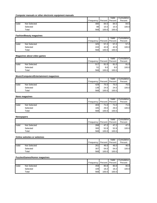# **Computer manuals or other electronic equipment manuals**

|       |              |                               |       | Valid | Cumulative |
|-------|--------------|-------------------------------|-------|-------|------------|
|       |              | Frequency   Percent   Percent |       |       | Percent    |
| Valid | Not Selected | 480                           | 84.5  | 84.5  | 84.5       |
|       | Selected     | 88                            | 15.5  | 15.5  | 100.0      |
|       | Total        | 568                           | 100.0 | 100.0 |            |

### **Fashion/Beauty magazines**

|       |              |             |                 | Valid | Cumulative |
|-------|--------------|-------------|-----------------|-------|------------|
|       |              | Frequency I | Percent Percent |       | Percent    |
| Valid | Not Selected | 325         | 57.2            | 57.2  | 57.2       |
|       | Selected     | 243         | 42.8            | 42.8  | 100.0      |
|       | Total        | 568         | 100.0           | 100.0 |            |

### **Magazines about video games**

|       |              |                               |                  | Valid            | Cumulative |
|-------|--------------|-------------------------------|------------------|------------------|------------|
|       |              | Frequency   Percent   Percent |                  |                  | Percent    |
| Valid | Not Selected | 517                           | 91.0             | 91.0             | 91.0       |
|       | Selected     | 51                            | 9.0 <sub>l</sub> | 9.0 <sub>l</sub> | 100.0      |
|       | $\tau$ otal  | 568                           | 100.0            | 100.0            |            |

# **Music/Computers/Entertainment magazines**

|       |              |           |         | Valid   | Cumulative |
|-------|--------------|-----------|---------|---------|------------|
|       |              | Frequency | Percent | Percent | Percent    |
| Valid | Not Selected | 429       | 75.5    | 75.5    | 75.5       |
|       | Selected     | 139       | 24.5    | 24.5    | 100.0      |
|       | Total        | 568       | 100.0   | 100.0   |            |

#### **News magazines**

|       |              |           |         | Valid   | Cumulative |
|-------|--------------|-----------|---------|---------|------------|
|       |              | Frequency | Percent | Percent | Percent    |
| Valid | Not Selected | 403       | 71.0    | 71.0    | 71.0       |
|       | Selected     | 165       | 29.0    | 29.0    | 100.0      |
|       | Total        | 568       | 100.0   | 100.0   |            |

# **Newspapers**

|                                              |                                                | Frequency                 | Percent       | Valid<br>Percent | Cumulative<br>Percent                                                                                      |
|----------------------------------------------|------------------------------------------------|---------------------------|---------------|------------------|------------------------------------------------------------------------------------------------------------|
| Valid                                        | <b>Not Selected</b>                            | 480                       | 84.5          | 84.5             | 84.5                                                                                                       |
|                                              | Selected                                       | 88                        | 15.5          | 15.5             | 100.0                                                                                                      |
|                                              | Total                                          | 568                       | 100.0         | 100.0            |                                                                                                            |
|                                              | <b>Fashion/Beauty magazines</b>                |                           |               |                  |                                                                                                            |
|                                              |                                                | Frequency                 | Percent       | Valid<br>Percent | Cumulative<br>Percent                                                                                      |
| Valid                                        | <b>Not Selected</b>                            | 325                       | 57.2          | 57.2             | 57.2                                                                                                       |
|                                              | Selected                                       | 243                       | 42.8          | 42.8             | 100.0                                                                                                      |
|                                              | Total                                          | 568                       | 100.0         | 100.0            |                                                                                                            |
|                                              | Magazines about video games                    |                           |               |                  |                                                                                                            |
|                                              |                                                | Frequency                 | Percent       | Valid<br>Percent | Cumulative<br>Percent                                                                                      |
| Valid                                        | Not Selected                                   | 517                       | 91.0          | 91.0             | 91.0                                                                                                       |
|                                              | Selected                                       | 51                        | 9.0           | 9.0              | 100.0                                                                                                      |
|                                              | Total                                          | 568                       | 100.0         | 100.0            |                                                                                                            |
|                                              | <b>Music/Computers/Entertainment magazines</b> |                           |               |                  |                                                                                                            |
|                                              |                                                |                           |               | Valid            | Cumulative                                                                                                 |
|                                              |                                                | Frequency                 | Percent       | Percent          | Percent                                                                                                    |
| Valid                                        | <b>Not Selected</b>                            | 429                       | 75.5          | 75.5             | 75.5                                                                                                       |
|                                              | Selected<br>Total                              | 139<br>568                | 24.5<br>100.0 | 24.5<br>100.0    | 100.0                                                                                                      |
|                                              |                                                |                           |               |                  |                                                                                                            |
|                                              | <b>News magazines</b>                          |                           |               | Valid            | Cumulative                                                                                                 |
|                                              |                                                | Frequency                 | Percent       | Percent          | Percent                                                                                                    |
|                                              |                                                |                           |               |                  |                                                                                                            |
|                                              | Not Selected                                   | 403                       | 71.0          | 71.0             |                                                                                                            |
|                                              | Selected                                       | 165                       | 29.0          | 29.0             |                                                                                                            |
|                                              | Total                                          | 568                       | 100.0         | 100.0            |                                                                                                            |
|                                              |                                                |                           |               | Valid            |                                                                                                            |
|                                              |                                                | Frequency Percent Percent |               |                  | Percent                                                                                                    |
|                                              | <b>Not Selected</b>                            | 268                       | 47.2          | 47.2             |                                                                                                            |
|                                              | Selected                                       | 300                       | 52.8          | 52.8             |                                                                                                            |
|                                              | Total                                          | 568                       | 100.0         | 100.0            |                                                                                                            |
|                                              | Online websites or webzines                    |                           |               |                  |                                                                                                            |
|                                              |                                                | Frequency                 | Percent       | Valid<br>Percent | Percent                                                                                                    |
|                                              | <b>Not Selected</b>                            | 261                       | 46.0          | 46.0             |                                                                                                            |
|                                              | Selected                                       | 307                       | 54.0          | 54.0             |                                                                                                            |
|                                              | Total                                          | 568                       | 100.0         | 100.0            |                                                                                                            |
| Valid<br><b>Newspapers</b><br>Valid<br>Valid | <b>Puzzles/Games/Humor magazines</b>           |                           |               |                  |                                                                                                            |
|                                              |                                                |                           |               | Valid<br>Percent | Percent                                                                                                    |
| Valid                                        | <b>Not Selected</b>                            | Frequency<br>459          | Percent       | 80.8             |                                                                                                            |
|                                              | Selected                                       | 109                       | 80.8<br>19.2  | 19.2             | 71.0<br>100.0<br>Cumulative<br>47.2<br>100.0<br>Cumulative<br>46.0<br>100.0<br>Cumulative<br>80.8<br>100.0 |

# **Online websites or webzines**

|       |              |           |       | Valid             | Cumulative |
|-------|--------------|-----------|-------|-------------------|------------|
|       |              | Frequency |       | Percent   Percent | Percent    |
| Valid | Not Selected | 261       | 46.0  | 46.0              | 46.0       |
|       | Selected     | 307       | 54.0  | 54.0              | 100.0      |
|       | Total        | 568       | 100.0 | 100.0             |            |

# **Puzzles/Games/Humor magazines**

|       |              |           |         | ∨alid   | Cumulative |
|-------|--------------|-----------|---------|---------|------------|
|       |              | Frequency | Percent | Percent | Percent    |
| Valid | Not Selected | 459       | 80.8    | 80.8    | 80.8       |
|       | Selected     | 109       | 19.2    | 19.2    | 100.0      |
|       | Total        | 568       | 100.0   | 100.0   |            |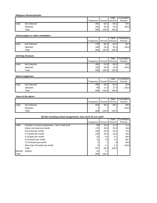# **Religious literature/books**

|       |              |                               |       | Valid | Cumulative |
|-------|--------------|-------------------------------|-------|-------|------------|
|       |              | Frequency   Percent   Percent |       |       | Percent    |
| Valid | Not Selected | 364                           | 64.1  | 64.1  | 64.1       |
|       | Selected     | 204                           | 35.9  | 35.9  | 100.0      |
|       | $\tau$ otal  | 568                           | 100.0 | 100.0 |            |

# **School papers or other newsletters**

|       |              |           |         | Valid   | Cumulative |
|-------|--------------|-----------|---------|---------|------------|
|       |              | Frequency | Percent | Percent | Percent    |
| Valid | Not Selected | 379       | 66.7    | 66.7    | 66.7       |
|       | Selected     | 189       | 33.3    | 33.3    | 100.0      |
|       | $\tau$ otal  | 568       | 100.0   | 100.0   |            |

# **Self-help literature**

|       |              |           |                 | Valid | Cumulative |
|-------|--------------|-----------|-----------------|-------|------------|
|       |              | Frequency | Percent Percent |       | Percent    |
| Valid | Not Selected | 463       | 81.5            | 81.5  | 81.5       |
|       | Selected     | 105       | 18.5            | 18.5  | 100.0      |
|       | Total        | 568       | 100.0           | 100.0 |            |

# **Sports magazines**

|       |              |           |         | Valid   | Cumulative |
|-------|--------------|-----------|---------|---------|------------|
|       |              | Frequency | Percent | Percent | Percent    |
| Valid | Not Selected | 469       | 82.6    | 82.6    | 82.6       |
|       | Selected     | 99        | 17.4    | 17.4    | 100.0      |
|       | $\tau$ otal  | 568       | 100.0   | 100.0   |            |

# **None of the above**

|       |              |           |         | Valid   | Cumulative |
|-------|--------------|-----------|---------|---------|------------|
|       |              | Frequency | Percent | Percent | Percent    |
| Valid | Not Selected | 564       | 99.3    | 99.3    | 99.3       |
|       | Selected     |           | . .     | . .     | 100.0      |
|       | Total        | 568       | 100.0   | 100.0   |            |

| Not Selected<br>Selected<br>Total<br>School papers or other newsletters | Frequency<br>364<br>204<br>568                                                                                                                                                                                                                                                                                                                                                                                | Percent<br>64.1                                                                                                                               | Percent                                                                                                                                                                                                                |                                                                                                                                                                                                        |
|-------------------------------------------------------------------------|---------------------------------------------------------------------------------------------------------------------------------------------------------------------------------------------------------------------------------------------------------------------------------------------------------------------------------------------------------------------------------------------------------------|-----------------------------------------------------------------------------------------------------------------------------------------------|------------------------------------------------------------------------------------------------------------------------------------------------------------------------------------------------------------------------|--------------------------------------------------------------------------------------------------------------------------------------------------------------------------------------------------------|
|                                                                         |                                                                                                                                                                                                                                                                                                                                                                                                               |                                                                                                                                               | 64.1                                                                                                                                                                                                                   | Percent<br>64.1                                                                                                                                                                                        |
|                                                                         |                                                                                                                                                                                                                                                                                                                                                                                                               | 35.9                                                                                                                                          | 35.9                                                                                                                                                                                                                   | 100.0                                                                                                                                                                                                  |
|                                                                         |                                                                                                                                                                                                                                                                                                                                                                                                               | 100.0                                                                                                                                         | 100.0                                                                                                                                                                                                                  |                                                                                                                                                                                                        |
|                                                                         |                                                                                                                                                                                                                                                                                                                                                                                                               |                                                                                                                                               |                                                                                                                                                                                                                        |                                                                                                                                                                                                        |
|                                                                         | Frequency                                                                                                                                                                                                                                                                                                                                                                                                     | Percent                                                                                                                                       | Valid<br>Percent                                                                                                                                                                                                       | Cumulative<br>Percent                                                                                                                                                                                  |
| <b>Not Selected</b>                                                     | 379                                                                                                                                                                                                                                                                                                                                                                                                           | 66.7                                                                                                                                          | 66.7                                                                                                                                                                                                                   | 66.7                                                                                                                                                                                                   |
| Selected                                                                | 189                                                                                                                                                                                                                                                                                                                                                                                                           | 33.3                                                                                                                                          | 33.3                                                                                                                                                                                                                   | 100.0                                                                                                                                                                                                  |
| Total                                                                   | 568                                                                                                                                                                                                                                                                                                                                                                                                           | 100.0                                                                                                                                         | 100.0                                                                                                                                                                                                                  |                                                                                                                                                                                                        |
|                                                                         |                                                                                                                                                                                                                                                                                                                                                                                                               |                                                                                                                                               |                                                                                                                                                                                                                        |                                                                                                                                                                                                        |
|                                                                         |                                                                                                                                                                                                                                                                                                                                                                                                               |                                                                                                                                               | Valid                                                                                                                                                                                                                  | Cumulative                                                                                                                                                                                             |
|                                                                         |                                                                                                                                                                                                                                                                                                                                                                                                               |                                                                                                                                               |                                                                                                                                                                                                                        | Percent                                                                                                                                                                                                |
|                                                                         |                                                                                                                                                                                                                                                                                                                                                                                                               |                                                                                                                                               |                                                                                                                                                                                                                        | 81.5                                                                                                                                                                                                   |
|                                                                         |                                                                                                                                                                                                                                                                                                                                                                                                               |                                                                                                                                               |                                                                                                                                                                                                                        | 100.0                                                                                                                                                                                                  |
|                                                                         |                                                                                                                                                                                                                                                                                                                                                                                                               |                                                                                                                                               |                                                                                                                                                                                                                        |                                                                                                                                                                                                        |
| <b>Sports magazines</b>                                                 |                                                                                                                                                                                                                                                                                                                                                                                                               |                                                                                                                                               |                                                                                                                                                                                                                        |                                                                                                                                                                                                        |
|                                                                         |                                                                                                                                                                                                                                                                                                                                                                                                               |                                                                                                                                               |                                                                                                                                                                                                                        | Cumulative<br>Percent                                                                                                                                                                                  |
|                                                                         |                                                                                                                                                                                                                                                                                                                                                                                                               |                                                                                                                                               |                                                                                                                                                                                                                        | 82.6                                                                                                                                                                                                   |
|                                                                         |                                                                                                                                                                                                                                                                                                                                                                                                               |                                                                                                                                               |                                                                                                                                                                                                                        |                                                                                                                                                                                                        |
| Total                                                                   | 568                                                                                                                                                                                                                                                                                                                                                                                                           | 100.0                                                                                                                                         | 100.0                                                                                                                                                                                                                  | 100.0                                                                                                                                                                                                  |
|                                                                         |                                                                                                                                                                                                                                                                                                                                                                                                               |                                                                                                                                               |                                                                                                                                                                                                                        |                                                                                                                                                                                                        |
|                                                                         |                                                                                                                                                                                                                                                                                                                                                                                                               |                                                                                                                                               | Valid                                                                                                                                                                                                                  | Cumulative                                                                                                                                                                                             |
|                                                                         |                                                                                                                                                                                                                                                                                                                                                                                                               |                                                                                                                                               |                                                                                                                                                                                                                        | Percent                                                                                                                                                                                                |
|                                                                         |                                                                                                                                                                                                                                                                                                                                                                                                               |                                                                                                                                               |                                                                                                                                                                                                                        | 99.3                                                                                                                                                                                                   |
|                                                                         |                                                                                                                                                                                                                                                                                                                                                                                                               |                                                                                                                                               |                                                                                                                                                                                                                        | 100.0                                                                                                                                                                                                  |
|                                                                         |                                                                                                                                                                                                                                                                                                                                                                                                               |                                                                                                                                               |                                                                                                                                                                                                                        |                                                                                                                                                                                                        |
|                                                                         |                                                                                                                                                                                                                                                                                                                                                                                                               |                                                                                                                                               | Valid                                                                                                                                                                                                                  | Cumulative                                                                                                                                                                                             |
|                                                                         |                                                                                                                                                                                                                                                                                                                                                                                                               |                                                                                                                                               |                                                                                                                                                                                                                        | Percent                                                                                                                                                                                                |
|                                                                         |                                                                                                                                                                                                                                                                                                                                                                                                               |                                                                                                                                               |                                                                                                                                                                                                                        | 11.2                                                                                                                                                                                                   |
|                                                                         |                                                                                                                                                                                                                                                                                                                                                                                                               |                                                                                                                                               |                                                                                                                                                                                                                        | 43.8                                                                                                                                                                                                   |
|                                                                         |                                                                                                                                                                                                                                                                                                                                                                                                               |                                                                                                                                               |                                                                                                                                                                                                                        | 70.0                                                                                                                                                                                                   |
|                                                                         |                                                                                                                                                                                                                                                                                                                                                                                                               |                                                                                                                                               |                                                                                                                                                                                                                        | 89.9                                                                                                                                                                                                   |
|                                                                         |                                                                                                                                                                                                                                                                                                                                                                                                               |                                                                                                                                               |                                                                                                                                                                                                                        | 96.0                                                                                                                                                                                                   |
|                                                                         |                                                                                                                                                                                                                                                                                                                                                                                                               |                                                                                                                                               |                                                                                                                                                                                                                        | 98.1                                                                                                                                                                                                   |
|                                                                         |                                                                                                                                                                                                                                                                                                                                                                                                               |                                                                                                                                               |                                                                                                                                                                                                                        | 98.9                                                                                                                                                                                                   |
|                                                                         |                                                                                                                                                                                                                                                                                                                                                                                                               |                                                                                                                                               |                                                                                                                                                                                                                        | 100.0                                                                                                                                                                                                  |
|                                                                         | 527                                                                                                                                                                                                                                                                                                                                                                                                           | 92.8                                                                                                                                          | 100.0                                                                                                                                                                                                                  |                                                                                                                                                                                                        |
| System                                                                  | 41                                                                                                                                                                                                                                                                                                                                                                                                            | $7.2\,$                                                                                                                                       |                                                                                                                                                                                                                        |                                                                                                                                                                                                        |
|                                                                         | Self-help literature<br>Not Selected<br>Selected<br>Total<br><b>Not Selected</b><br>Selected<br>None of the above<br><b>Not Selected</b><br>Selected<br>Total<br>Outside of school assignments, I don't read at all<br>Under one book per month<br>One book per month<br>2-3 books per month<br>4-5 books per month<br>6-10 books per month<br>11-20 books per month<br>More than 20 books per month<br>Total | Frequency<br>463<br>105<br>568<br>Frequency<br>469<br>99<br>Frequency<br>564<br>4<br>568<br>59<br>172<br>138<br>105<br>32<br>11<br>4<br>$\,6$ | Percent<br>81.5<br>18.5<br>100.0<br>Percent<br>82.6<br>17.4<br>Percent<br>99.3<br>.7<br>100.0<br>22) Not including school assignments, how much do you read?<br>30.3<br>24.3<br>18.5<br>5.6<br>1.9<br>$\cdot$<br>$1.1$ | Percent<br>81.5<br>18.5<br>100.0<br>Valid<br>Percent<br>82.6<br>17.4<br>Percent<br>99.3<br>.7<br>100.0<br>Frequency Percent Percent<br>10.4<br>11.2<br>32.6<br>26.2<br>19.9<br>6.1<br>2.1<br>.8<br>1.1 |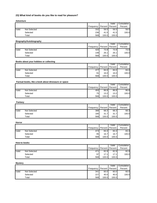# **23) What kind of books do you like to read for pleasure?**

|       |              |           |         | Valid   | Cumulative |
|-------|--------------|-----------|---------|---------|------------|
|       |              | Frequency | Percent | Percent | Percent    |
| Valid | Not Selected | 332       | 58.5    | 58.5    | 58.5       |
|       | Selected     | 236       | 41.5    | 41.5    | 100.0      |
|       | Total        | 568       | 100.0   | 100.0   |            |

# **Biography/Autobiography**

|       |              |           |         | Valid   | Cumulative |
|-------|--------------|-----------|---------|---------|------------|
|       |              | Frequency | Percent | Percent | Percent    |
| Valid | Not Selected | 420       | 73.9    | 73.9    | 73.9       |
|       | Selected     | 148       | 26.1    | 26.1    | 100.0      |
|       | Total        | 568       | 100.0   | 100.0   |            |

#### **Books about your hobbies or collecting**

|       |              |           |       | Valid             | Cumulative |
|-------|--------------|-----------|-------|-------------------|------------|
|       |              | Frequency |       | Percent   Percent | Percent    |
| Valid | Not Selected | 477       | 84.0  | 84.0              | 84.0       |
|       | Selected     | 91        | 16.0  | 16.0              | 100.0      |
|       | Total        | 568       | 100.0 | 100.0             |            |

# **Factual books, like a book about dinosaurs or space**

|       |              |           |       | Valid           | Cumulative |
|-------|--------------|-----------|-------|-----------------|------------|
|       |              | Frequency |       | Percent Percent | Percent    |
| Valid | Not Selected | 493       | 86.8  | 86.8            | 86.8       |
|       | Selected     | 751       | 13.2  | 13.2            | 100.0      |
|       | $\tau$ otal  | 568       | 100.0 | 100.0           |            |

#### **Fantasy**

|       |              |           |       | Valid           | Cumulative |
|-------|--------------|-----------|-------|-----------------|------------|
|       |              | Frequency |       | Percent Percent | Percent    |
| Valid | Not Selected | 388       | 68.3  | 68.3            | 68.3       |
|       | Selected     | 180       | 31.7  | 31.7            | 100.0      |
|       | Total        | 568       | 100.0 | 100.0           |            |

# **Horror**

|       |              |           |                 | Valid | Cumulative |
|-------|--------------|-----------|-----------------|-------|------------|
|       |              | Frequency | Percent Percent |       | Percent    |
| Valid | Not Selected | 473       | 83.3            | 83.3  | 83.3       |
|       | Selected     | 95        | 16.7            | 16.7  | 100.0      |
|       | Total        | 568       | 100.0           | 100.0 |            |

#### **How-to books**

|       |              |           |                 | Valid | Cumulative |
|-------|--------------|-----------|-----------------|-------|------------|
|       |              | Frequency | Percent Percent |       | Percent    |
| Valid | Not Selected | 471       | 82.9            | 82.9  | 82.9       |
|       | Selected     | 971       | 17.1            | 17.11 | 100.0      |
|       | Total        | 568       | 100.0           | 100.0 |            |

#### **Mystery**

|                | <b>Adventure</b>                                    |                  |                 |                  |                       |
|----------------|-----------------------------------------------------|------------------|-----------------|------------------|-----------------------|
|                |                                                     | Frequency        | Percent         | Valid<br>Percent | Cumulative<br>Percent |
| Valid          | <b>Not Selected</b>                                 | 332              | 58.5            | 58.5             | 58.5                  |
|                | Selected                                            | 236              | 41.5            | 41.5             | 100.0                 |
|                | Total                                               | 568              | 100.0           | 100.0            |                       |
|                | Biography/Autobiography                             |                  |                 |                  |                       |
|                |                                                     |                  |                 | Valid            | Cumulative            |
|                |                                                     | Frequency        | Percent         | Percent          | Percent               |
| Valid          | <b>Not Selected</b>                                 | 420              | 73.9            | 73.9             | 73.9                  |
|                | Selected<br>Total                                   | 148<br>568       | 26.1<br>100.0   | 26.1<br>100.0    | 100.0                 |
|                |                                                     |                  |                 |                  |                       |
|                | Books about your hobbies or collecting              |                  |                 | Valid            | Cumulative            |
|                |                                                     | Frequency        | Percent         | Percent          | Percent               |
| Valid          | <b>Not Selected</b>                                 | 477              | 84.0            | 84.0             | 84.0                  |
|                | Selected                                            | 91               | 16.0            | 16.0             | 100.0                 |
|                | Total                                               | 568              | 100.0           | 100.0            |                       |
|                | Factual books, like a book about dinosaurs or space |                  |                 |                  |                       |
|                |                                                     | Frequency        | Percent         | Valid<br>Percent | Cumulative<br>Percent |
| Valid          | Not Selected                                        | 493              | 86.8            | 86.8             | 86.8                  |
|                | Selected                                            | 75               | 13.2            | 13.2             | 100.0                 |
|                | Total                                               | 568              | 100.0           | 100.0            |                       |
| Fantasy        |                                                     |                  |                 |                  |                       |
|                |                                                     |                  |                 | Valid            | Cumulative            |
| Valid          | <b>Not Selected</b>                                 | Frequency<br>388 | Percent<br>68.3 | Percent<br>68.3  | Percent<br>68.3       |
|                | Selected                                            | 180              | 31.7            | 31.7             | 100.0                 |
|                | Total                                               | 568              | 100.0           | 100.0            |                       |
|                |                                                     |                  |                 |                  |                       |
| Horror         |                                                     |                  |                 | Valid            | Cumulative            |
|                |                                                     | Frequency        | Percent         | Percent          | Percent               |
| Valid          | <b>Not Selected</b>                                 | 473              | 83.3            | 83.3             | 83.3                  |
|                | Selected<br>Total                                   | 95<br>568        | 16.7<br>100.0   | 16.7<br>100.0    | 100.0                 |
|                |                                                     |                  |                 |                  |                       |
|                | How-to books                                        |                  |                 | Valid            | Cumulative            |
|                |                                                     | Frequency        | Percent         | Percent          | Percent               |
| Valid          | <b>Not Selected</b>                                 | 471              | 82.9            | 82.9             | 82.9                  |
|                | Selected                                            | 97               | 17.1            | 17.1             | 100.0                 |
|                | Total                                               | 568              | 100.0           | 100.0            |                       |
| <b>Mystery</b> |                                                     |                  |                 |                  |                       |
|                |                                                     | Frequency        | Percent         | Valid<br>Percent | Cumulative<br>Percent |
|                | Not Selected                                        | 341              | 60.0            | 60.0             | 60.0                  |
|                |                                                     | 227              | 40.0            | 40.0             | 100.0                 |
| Valid          | Selected                                            |                  |                 |                  |                       |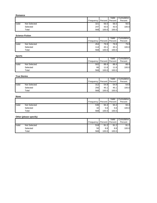| Frequency<br>Percent<br>Percent<br>Valid<br>Not Selected<br>321<br>56.5<br>56.5<br>43.5<br>Selected<br>247<br>43.5<br>568<br>Total<br>100.0<br>100.0<br><b>Science Fiction</b><br>Valid<br>Frequency<br>Percent<br>Percent<br>Valid<br>Not Selected<br>454<br>79.9<br>79.9<br>Selected<br>114<br>20.1<br>20.1<br>568<br>Total<br>100.0<br>100.0<br><b>Sports</b><br>Valid<br>Frequency<br>Percent<br>Percent<br>Valid<br>Not Selected<br>502<br>88.4<br>88.4<br>Selected<br>66<br>11.6<br>11.6<br>568<br>Total<br>100.0<br>100.0<br><b>True Stories</b><br>Valid<br>Frequency<br>Percent<br>Percent<br>Valid<br>Not Selected<br>312<br>54.9<br>54.9<br>45.1<br>45.1<br>Selected<br>256<br>Total<br>568<br>100.0<br>100.0<br><b>None</b><br>Valid<br>Frequency<br>Percent<br>Percent | Percent<br>56.5<br>100.0<br>Cumulative<br>Percent<br>79.9<br>100.0<br>Cumulative<br>Percent<br>88.4<br>100.0 |
|-------------------------------------------------------------------------------------------------------------------------------------------------------------------------------------------------------------------------------------------------------------------------------------------------------------------------------------------------------------------------------------------------------------------------------------------------------------------------------------------------------------------------------------------------------------------------------------------------------------------------------------------------------------------------------------------------------------------------------------------------------------------------------------|--------------------------------------------------------------------------------------------------------------|
|                                                                                                                                                                                                                                                                                                                                                                                                                                                                                                                                                                                                                                                                                                                                                                                     |                                                                                                              |
|                                                                                                                                                                                                                                                                                                                                                                                                                                                                                                                                                                                                                                                                                                                                                                                     |                                                                                                              |
|                                                                                                                                                                                                                                                                                                                                                                                                                                                                                                                                                                                                                                                                                                                                                                                     |                                                                                                              |
|                                                                                                                                                                                                                                                                                                                                                                                                                                                                                                                                                                                                                                                                                                                                                                                     |                                                                                                              |
|                                                                                                                                                                                                                                                                                                                                                                                                                                                                                                                                                                                                                                                                                                                                                                                     |                                                                                                              |
|                                                                                                                                                                                                                                                                                                                                                                                                                                                                                                                                                                                                                                                                                                                                                                                     |                                                                                                              |
|                                                                                                                                                                                                                                                                                                                                                                                                                                                                                                                                                                                                                                                                                                                                                                                     |                                                                                                              |
|                                                                                                                                                                                                                                                                                                                                                                                                                                                                                                                                                                                                                                                                                                                                                                                     |                                                                                                              |
|                                                                                                                                                                                                                                                                                                                                                                                                                                                                                                                                                                                                                                                                                                                                                                                     |                                                                                                              |
|                                                                                                                                                                                                                                                                                                                                                                                                                                                                                                                                                                                                                                                                                                                                                                                     |                                                                                                              |
|                                                                                                                                                                                                                                                                                                                                                                                                                                                                                                                                                                                                                                                                                                                                                                                     |                                                                                                              |
|                                                                                                                                                                                                                                                                                                                                                                                                                                                                                                                                                                                                                                                                                                                                                                                     |                                                                                                              |
|                                                                                                                                                                                                                                                                                                                                                                                                                                                                                                                                                                                                                                                                                                                                                                                     |                                                                                                              |
|                                                                                                                                                                                                                                                                                                                                                                                                                                                                                                                                                                                                                                                                                                                                                                                     |                                                                                                              |
|                                                                                                                                                                                                                                                                                                                                                                                                                                                                                                                                                                                                                                                                                                                                                                                     |                                                                                                              |
|                                                                                                                                                                                                                                                                                                                                                                                                                                                                                                                                                                                                                                                                                                                                                                                     | Cumulative                                                                                                   |
|                                                                                                                                                                                                                                                                                                                                                                                                                                                                                                                                                                                                                                                                                                                                                                                     | Percent                                                                                                      |
|                                                                                                                                                                                                                                                                                                                                                                                                                                                                                                                                                                                                                                                                                                                                                                                     | 54.9                                                                                                         |
|                                                                                                                                                                                                                                                                                                                                                                                                                                                                                                                                                                                                                                                                                                                                                                                     | 100.0                                                                                                        |
|                                                                                                                                                                                                                                                                                                                                                                                                                                                                                                                                                                                                                                                                                                                                                                                     |                                                                                                              |
|                                                                                                                                                                                                                                                                                                                                                                                                                                                                                                                                                                                                                                                                                                                                                                                     | Cumulative                                                                                                   |
|                                                                                                                                                                                                                                                                                                                                                                                                                                                                                                                                                                                                                                                                                                                                                                                     | Percent                                                                                                      |
| Valid<br>Not Selected<br>536<br>94.4<br>94.4                                                                                                                                                                                                                                                                                                                                                                                                                                                                                                                                                                                                                                                                                                                                        | 94.4                                                                                                         |
| 32<br>5.6<br>Selected<br>5.6                                                                                                                                                                                                                                                                                                                                                                                                                                                                                                                                                                                                                                                                                                                                                        | 100.0                                                                                                        |
| Total<br>568<br>100.0<br>100.0                                                                                                                                                                                                                                                                                                                                                                                                                                                                                                                                                                                                                                                                                                                                                      |                                                                                                              |
| Other (please specify)                                                                                                                                                                                                                                                                                                                                                                                                                                                                                                                                                                                                                                                                                                                                                              |                                                                                                              |
| Valid<br>Frequency Percent Percent                                                                                                                                                                                                                                                                                                                                                                                                                                                                                                                                                                                                                                                                                                                                                  | Cumulative<br>Percent                                                                                        |
| Valid<br><b>Not Selected</b><br>518<br>91.2<br>91.2                                                                                                                                                                                                                                                                                                                                                                                                                                                                                                                                                                                                                                                                                                                                 | 91.2                                                                                                         |
| 50<br>8.8<br>$8.8\,$<br>Selected                                                                                                                                                                                                                                                                                                                                                                                                                                                                                                                                                                                                                                                                                                                                                    | 100.0                                                                                                        |
| 568<br>100.0<br>100.0<br>Total                                                                                                                                                                                                                                                                                                                                                                                                                                                                                                                                                                                                                                                                                                                                                      |                                                                                                              |
|                                                                                                                                                                                                                                                                                                                                                                                                                                                                                                                                                                                                                                                                                                                                                                                     |                                                                                                              |

# **Science Fiction**

|       |              |           |       | Valid             | Cumulative |
|-------|--------------|-----------|-------|-------------------|------------|
|       |              | Frequency |       | Percent   Percent | Percent    |
| Valid | Not Selected | 454       | 79.9  | 79.9              | 79.9       |
|       | Selected     | 114I      | 20.1  | 20.1              | 100.0      |
|       | Total        | 568       | 100.0 | 100.0             |            |

# **Sports**

|       |              |           |       | Valid             | Cumulative |
|-------|--------------|-----------|-------|-------------------|------------|
|       |              | Frequency |       | Percent   Percent | Percent    |
| Valid | Not Selected | 502       | 88.4  | 88.4              | 88.4       |
|       | Selected     | 66        | 11.6  | 11.6              | 100.0      |
|       | Total        | 568       | 100.0 | 100.0             |            |

# **True Stories**

|       |              |           |         | Valid   | Cumulative |
|-------|--------------|-----------|---------|---------|------------|
|       |              | Frequency | Percent | Percent | Percent    |
| Valid | Not Selected | 312       | 54.9    | 54.9    | 54.9       |
|       | Selected     | 256       | 45.1    | 45.1    | 100.0      |
|       | Total        | 568       | 100.0   | 100.0   |            |

# **None**

|       |              |                 |       | Valid           | Cumulative |
|-------|--------------|-----------------|-------|-----------------|------------|
|       |              | Frequency       |       | Percent Percent | Percent    |
| Valid | Not Selected | 536             | 94.4  | 94.4            | 94.4       |
|       | Selected     | 32 <sub>l</sub> | 5.6   | 5.6             | 100.0      |
|       | Total        | 568             | 100.0 | 100.0           |            |

# **Other (please specify)**

|       |              |           |                  | Valid   | Cumulative |
|-------|--------------|-----------|------------------|---------|------------|
|       |              | Frequency | Percent          | Percent | Percent    |
| Valid | Not Selected | 518       | 91.2             | 91.2    | 91.2       |
|       | Selected     | 50        | 8.8 <sub>l</sub> | 8.8     | 100.0      |
|       | Total        | 568       | 100.0            | 100.0   |            |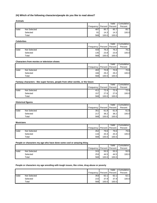# **24) Which of the following characters/people do you like to read about?**

|       |              |           |         | Valid   | Cumulative |
|-------|--------------|-----------|---------|---------|------------|
|       |              | Frequency | Percent | Percent | Percent    |
| Valid | Not Selected | 487       | 85.7    | 85.7    | 85.7       |
|       | Selected     | 81        | 14.3    | 14.3    | 100.0      |
|       | Total        | 568       | 100.0   | 100.0   |            |

|       |              |           |                   | Valid | Cumulative |
|-------|--------------|-----------|-------------------|-------|------------|
|       |              | Frequency | Percent   Percent |       | Percent    |
| Valid | Not Selected | 433       | 76.2              | 76.2  | 76.2       |
|       | Selected     | 135       | 23.8              | 23.8  | 100.0      |
|       | Total        | 568       | 100.0             | 100.0 |            |

#### **Characters from movies or television shows**

|       |              |           |       | Valid           | Cumulative |
|-------|--------------|-----------|-------|-----------------|------------|
|       |              | Frequency |       | Percent Percent | Percent    |
| Valid | Not Selected | 402       | 70.8  | 70.8            | 70.8       |
|       | Selected     | 166       | 29.2  | 29.2            | 100.0      |
|       | Total        | 568       | 100.0 | 100.0           |            |

#### **Fantasy characters - like super heroes, people from other worlds, or the future**

|       |              |           |         | Valid   | Cumulative |
|-------|--------------|-----------|---------|---------|------------|
|       |              | Frequency | Percent | Percent | Percent    |
| Valid | Not Selected | 411       | 72.41   | 72.4    | 72.4       |
|       | Selected     | 157       | 27.6    | 27.6    | 100.0      |
|       | Total        | 568       | 100.0   | 100.0   |            |

#### **Historical figures**

|       |              |           |       | Valid             | Cumulative |
|-------|--------------|-----------|-------|-------------------|------------|
|       |              | Frequency |       | Percent   Percent | Percent    |
| Valid | Not Selected | 351       | 61.8  | 61.8              | 61.8       |
|       | Selected     | 217       | 38.2  | 38.2              | 100.0      |
|       | Total        | 568       | 100.0 | 100.0             |            |

#### **Musicians**

|       |                     |           |       | Valid           | Cumulative |
|-------|---------------------|-----------|-------|-----------------|------------|
|       |                     | Frequency |       | Percent Percent | Percent    |
| Valid | <b>Not Selected</b> | 452       | 79.6  | 79.6            | 79.6       |
|       | Selected            | 116       | 20.4  | 20.4            | 100.0      |
|       | Total               | 568       | 100.0 | 100.0           |            |

|       |              |                               |       | Valid | Cumulative |
|-------|--------------|-------------------------------|-------|-------|------------|
|       |              | Frequency   Percent   Percent |       |       | Percent    |
| Valid | Not Selected | 315                           | 55.5  | 55.5  | 55.5       |
|       | Selected     | 253                           | 44.5  | 44.51 | 100.0      |
|       | Total        | 568                           | 100.0 | 100.0 |            |

# **People or characters my age wrestling with tough issues, like crime, drug abuse or poverty**

| <b>Animals</b>     |                                                                                 |                                                                                            |                       |
|--------------------|---------------------------------------------------------------------------------|--------------------------------------------------------------------------------------------|-----------------------|
|                    |                                                                                 | Valid                                                                                      | Cumulative            |
| Valid              | Not Selected                                                                    | Frequency<br>Percent<br>Percent<br>85.7<br>487<br>85.7                                     | Percent<br>85.7       |
|                    | Selected                                                                        | 14.3<br>14.3<br>81                                                                         | 100.0                 |
|                    | Total                                                                           | 100.0<br>100.0<br>568                                                                      |                       |
|                    |                                                                                 |                                                                                            |                       |
| <b>Celebrities</b> |                                                                                 | Valid                                                                                      | Cumulative            |
|                    |                                                                                 | Percent<br>Frequency<br>Percent                                                            | Percent               |
| Valid              | Not Selected                                                                    | 433<br>76.2<br>76.2                                                                        | 76.2                  |
|                    | Selected                                                                        | 135<br>23.8<br>23.8                                                                        | 100.0                 |
|                    | Total                                                                           | 568<br>100.0<br>100.0                                                                      |                       |
|                    | <b>Characters from movies or television shows</b>                               |                                                                                            |                       |
|                    |                                                                                 | Valid<br>Percent<br>Frequency<br>Percent                                                   | Cumulative<br>Percent |
| Valid              | Not Selected                                                                    | 402<br>70.8<br>70.8                                                                        | 70.8                  |
|                    | Selected                                                                        | 29.2<br>29.2<br>166                                                                        | 100.0                 |
|                    | Total                                                                           | 568<br>100.0<br>100.0                                                                      |                       |
|                    | Fantasy characters - like super heroes, people from other worlds, or the future |                                                                                            |                       |
|                    |                                                                                 | Valid                                                                                      | Cumulative            |
|                    |                                                                                 | Frequency<br>Percent<br>Percent                                                            | Percent               |
| Valid              | <b>Not Selected</b>                                                             | 72.4<br>72.4<br>411                                                                        | 72.4                  |
|                    | Selected<br>Total                                                               | 27.6<br>27.6<br>157<br>568<br>100.0<br>100.0                                               | 100.0                 |
|                    |                                                                                 |                                                                                            |                       |
|                    | <b>Historical figures</b>                                                       | Valid                                                                                      | Cumulative            |
|                    |                                                                                 | Frequency<br>Percent<br>Percent                                                            | Percent               |
| Valid              | Not Selected                                                                    | 351<br>61.8<br>61.8                                                                        | 61.8                  |
|                    | Selected                                                                        | 217<br>38.2<br>38.2                                                                        | 100.0                 |
|                    | Total                                                                           | 568<br>100.0<br>100.0                                                                      |                       |
| <b>Musicians</b>   |                                                                                 |                                                                                            |                       |
|                    |                                                                                 | Valid<br>Percent<br>Frequency<br>Percent                                                   | Cumulative<br>Percent |
| Valid              | Not Selected                                                                    | 452<br>79.6<br>79.6                                                                        | 79.6                  |
|                    | Selected                                                                        | 20.4<br>116<br>20.4                                                                        | 100.0                 |
|                    | Total                                                                           | 568<br>100.0<br>100.0                                                                      |                       |
|                    | People or characters my age who have done some cool or amazing thing            |                                                                                            |                       |
|                    |                                                                                 | Valid                                                                                      | Cumulative            |
|                    |                                                                                 | Frequency<br>Percent<br>Percent                                                            | Percent               |
| Valid              | Not Selected                                                                    | 315<br>55.5<br>55.5                                                                        | 55.5                  |
|                    | Selected<br>Total                                                               | 253<br>44.5<br>44.5<br>568<br>100.0<br>100.0                                               | 100.0                 |
|                    |                                                                                 |                                                                                            |                       |
|                    |                                                                                 | People or characters my age wrestling with tough issues, like crime, drug abuse or poverty |                       |
|                    |                                                                                 |                                                                                            |                       |
|                    |                                                                                 | Valid<br>Frequency<br>Percent<br>Percent                                                   | Cumulative<br>Percent |
| Valid              | Not Selected                                                                    | 353<br>62.1<br>62.1                                                                        | 62.1                  |
|                    | Selected                                                                        | 215<br>37.9<br>37.9                                                                        | 100.0                 |
|                    | Total                                                                           | 568<br>100.0<br>100.0                                                                      |                       |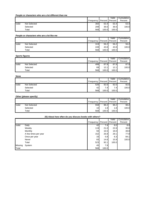# **People or characters who are a lot different than me**

|       |              |                               |       | Valid | Cumulative |
|-------|--------------|-------------------------------|-------|-------|------------|
|       |              | Frequency   Percent   Percent |       |       | Percent    |
| Valid | Not Selected | 360                           | 63.4  | 63.4  | 63.4       |
|       | Selected     | 208                           | 36.6  | 36.6  | 100.0      |
|       | Total        | 568                           | 100.0 | 100.0 |            |

# **People or characters who are a lot like me**

|       |              |             |                 | Valid | Cumulative |
|-------|--------------|-------------|-----------------|-------|------------|
|       |              | Frequency I | Percent Percent |       | Percent    |
| Valid | Not Selected | 319         | 56.2            | 56.2  | 56.2       |
|       | Selected     | 249         | 43.8            | 43.8  | 100.0      |
|       | Total        | 568         | 100.0           | 100.0 |            |

#### **Sports figures**

|       |                     |                 |                 | Valid | <b>Cumulative</b> |
|-------|---------------------|-----------------|-----------------|-------|-------------------|
|       |                     | Frequency       | Percent Percent |       | Percent           |
| Valid | <b>Not Selected</b> | 499             | 87.9            | 87.9  | 87.9              |
|       | Selected            | 69 <sub>1</sub> | 12.1            | 12.1  | 100.0             |
|       | Total               | 568             | 100.0           | 100.0 |                   |

# **None**

|       |              |           |         | Valid   | Cumulative |
|-------|--------------|-----------|---------|---------|------------|
|       |              | Frequency | Percent | Percent | Percent    |
| Valid | Not Selected | 526       | 92.6    | 92.6    | 92.6       |
|       | Selected     | 42        | 7.41    | 7.4     | 100.0      |
|       | Total        | 568       | 100.0   | 100.0   |            |

# **Other (please specify)**

|       |              |                 |         | Valid   | Cumulative |
|-------|--------------|-----------------|---------|---------|------------|
|       |              | Frequency       | Percent | Percent | Percent    |
| Valid | Not Selected | 558             | 98.2    | 98.2    | 98.2       |
|       | Selected     | 10 <sup>1</sup> | 1.8I    | 1.8     | 100.0      |
|       | Total        | 568             | 100.0   | 100.0   |            |

|                  |                                            | Frequency                                             |           | Percent                   | Valid<br>Percent | Cumulative<br>Percent                                      |
|------------------|--------------------------------------------|-------------------------------------------------------|-----------|---------------------------|------------------|------------------------------------------------------------|
| Valid            | Not Selected                               |                                                       | 360       | 63.4                      | 63.4             | 63.4                                                       |
|                  | Selected                                   |                                                       | 208       | 36.6                      | 36.6             | 100.0                                                      |
|                  | Total                                      |                                                       | 568       | 100.0                     | 100.0            |                                                            |
|                  | People or characters who are a lot like me |                                                       |           |                           |                  |                                                            |
|                  |                                            | Frequency                                             |           | Percent                   | Valid<br>Percent | Cumulative<br>Percent                                      |
| Valid            | <b>Not Selected</b>                        |                                                       | 319       | 56.2                      | 56.2             | 56.2                                                       |
|                  | Selected                                   |                                                       | 249       | 43.8                      | 43.8             | 100.0                                                      |
|                  | Total                                      |                                                       | 568       | 100.0                     | 100.0            |                                                            |
|                  | <b>Sports figures</b>                      |                                                       |           |                           |                  |                                                            |
|                  |                                            | Frequency                                             |           | Percent                   | Valid<br>Percent | Cumulative<br>Percent                                      |
| Valid            | <b>Not Selected</b>                        |                                                       | 499       | 87.9                      | 87.9             | 87.9                                                       |
|                  | Selected                                   |                                                       | 69        | 12.1                      | 12.1             | 100.0                                                      |
|                  | Total                                      |                                                       | 568       | 100.0                     | 100.0            |                                                            |
| <b>None</b>      |                                            |                                                       |           |                           |                  |                                                            |
|                  |                                            |                                                       |           |                           | Valid            | Cumulative                                                 |
|                  |                                            | Frequency                                             |           | Percent                   | Percent          | Percent                                                    |
| Valid            | <b>Not Selected</b>                        |                                                       | 526       | 92.6                      | 92.6             | 92.6                                                       |
|                  | Selected<br>Total                          |                                                       | 42<br>568 | 7.4<br>100.0              | 7.4<br>100.0     | 100.0                                                      |
|                  |                                            |                                                       |           |                           |                  |                                                            |
|                  | Other (please specify)                     |                                                       |           |                           | Valid            | Cumulative                                                 |
|                  |                                            | Frequency                                             |           | Percent                   | Percent          | Percent                                                    |
| Valid            | <b>Not Selected</b><br>Selected            |                                                       | 558       | 98.2                      | 98.2             | 98.2                                                       |
|                  |                                            |                                                       | 10<br>568 | 1.8<br>100.0              | 1.8<br>100.0     | 100.0                                                      |
|                  | Total                                      |                                                       |           |                           |                  |                                                            |
|                  |                                            |                                                       |           |                           |                  |                                                            |
|                  |                                            | 25) About how often do you discuss books with others? |           |                           | Valid            |                                                            |
|                  |                                            |                                                       |           | Frequency Percent Percent |                  | Percent                                                    |
|                  | Daily                                      |                                                       | 42        | 7.4                       | 8.0              |                                                            |
|                  | Weekly                                     |                                                       | 119       | 21.0                      | 22.8             |                                                            |
|                  | Monthly                                    |                                                       | 94        | 16.5                      | 18.0             |                                                            |
|                  | A few times per year                       |                                                       | 152       | 26.8                      | 29.1             |                                                            |
| Valid            | Once per year<br>Never                     |                                                       | 33        | 5.8                       | 6.3              |                                                            |
|                  | Total                                      |                                                       | 83<br>523 | 14.6<br>92.1              | 15.9<br>100.0    |                                                            |
| Missing<br>Total | System                                     |                                                       | 45<br>568 | $7.9$<br>100.0            |                  | Cumulative<br>8.0<br>30.8<br>48.8<br>77.8<br>84.1<br>100.0 |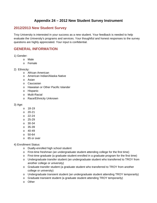# **Appendix 24 – 2012 New Student Survey Instrument**

# **2012/2013 New Student Survey**

Troy University is interested in your success as a new student. Your feedback is needed to help evaluate the University's programs and services. Your thoughtful and honest responses to the survey questions are highly appreciated. Your input is confidential. Fall 2012 New Student Survey<br>
Instrument<br>
Bback is needed to help<br>
aprogram for the first time)<br>
aprogram for the first time)<br>
the surve<br>
d to TROY from another<br>
attending TROY temporarily)<br>
OY temporarily)<br>
90

# **GENERAL INFORMATION**

- 1) Gender:
	- o Male
	- o Female
- 2) Ethnicity:
	- o African American
	- o American Indian/Alaska Native
	- o Asian
	- o Caucasian
	- o Hawaiian or Other Pacific Islander
	- o Hispanic
	- o Multi-Racial
	- o Race/Ethnicity Unknown

# 3) Age:

- o 18-19
- o 20-21
- o 22-24
- o 25-29
- o 30-34
- o 35-39
- $O$  40-49
- $0.50 64$
- o 65 or over

# 4) Enrollment Status:

- o Dually-enrolled high school student
- $\circ$  First-time freshman (an undergraduate student attending college for the first time)
- $\circ$  First-time graduate (a graduate student enrolled in a graduate program for the first time)
- o Undergraduate transfer student (an undergraduate student who transferred to TROY from another college or university)
- o Graduate transfer student (a graduate student who transferred to TROY from another college or university)
- o Undergraduate transient student (an undergraduate student attending TROY temporarily)
- o Graduate transient student (a graduate student attending TROY temporarily)
- o Other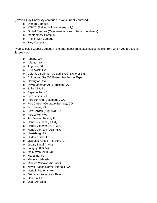5) Which Troy University campus are you currently enrolled?

- o Dothan Campus
- o eTROY (Taking online courses only)
- o Global Campus (Campuses or sites outside of Alabama)
- o Montgomery Campus
- o Phenix City Campus
- o Troy Campus

If you selected Global Campus in the prior question, please select the site from which you are taking classes now: Fall 2012 New Student Survey<br>te from which you are taking<br>91

- o Albany, GA
- o Atlanta, GA
- o Augusta, GA
- o Brunswick, GA
- o Colorado Springs, CO (Off Base- Explorer Dr)
- o Columbus, GA (Off Base- Manchester Exp)
- o Covington, GA
- o Davis Monthan AFB (Tucson), AZ
- o Eglin AFB, FL
- o Fayetteville, NC
- o Fort Belvoir, VA
- o Fort Benning (Columbus), GA
- o Fort Carson (Colorado Springs), CO
- o Fort Eustis, VA
- o Fort Gordon (Augusta), GA
- o Fort Lewis, WA
- o Fort Walton Beach, FL
- o Hanoi, Vietnam (HUST)
- o Hanoi, Vietnam (UEB-VNU)
- o Hanoi, Vietnam (UET-VNU)
- o Harrisburg, PA
- o Hurlburt Field, FL
- o JEB Little Creek Ft. Story (VA)
- o Jubail, Saudi Arabia
- o Langley AFB, VA
- o Malmstrom AFB, MT
- o Marianna, FL
- o Melaka, Malaysia
- o Misawa (Misawa Air Base)
- o Naval Station Norfolk (Norfolk, VA)
- o Norfolk Regional, VA
- o Okinawa (Kadena Air Base)
- o Orlando, FL
- o Osan Air Base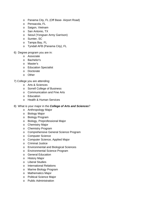- o Panama City, FL (Off Base- Airport Road)
- o Pensacola, FL
- o Saigon, Vietnam
- o San Antonio, TX
- o Seoul (Yongsan Army Garrison)
- o Sumter, SC
- o Tampa Bay, FL
- o Tyndall AFB (Panama City), FL
- 6) Degree program you are in:
	- o Associate
	- o Bachelor's
	- o Master's
	- o Education Specialist
	- o Doctorate
	- o Other

7) College you are attending:

- o Arts & Sciences
- o Sorrell College of Business
- o Communication and Fine Arts
- o Education
- o Health & Human Services
- 8) What is your major in the *College of Arts and Sciences*?
	- o Anthropology Major
	- o Biology Major
	- o Biology Program
	- o Biology, Preprofessional Major
	- o Chemistry Major
	- o Chemistry Program
	- o Comprehensive General Science Program
	- o Computer Science
	- o Computer Science, Applied Major
	- o Criminal Justice
	- o Environmental and Biological Sciences
	- o Environmental Science Program
	- o General Education
	- o History Major
	- o Liberal Studies
	- o International Relations
	- o Marine Biology Program
	- o Mathematics Major
	- o Political Science Major
	- o Public Administration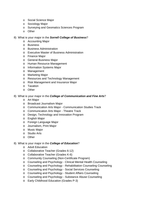- o Social Science Major
- o Sociology Major
- o Surveying and Geomatics Sciences Program
- o Other
- 8) What is your major in the *Sorrell College of Business*?
	- o Accounting Major
	- o Business
	- o Business Administration
	- o Executive Master of Business Administration
	- o Finance Major
	- o General Business Major
	- o Human Resource Management
	- o Information Systems Major
	- o Management
	- o Marketing Major
	- o Resources and Technology Management
	- o Risk Management and Insurance Major
	- o Taxation
	- o Other
- 8) What is your major in the *College of Communication and Fine Arts*?
	- o Art Major
	- o Broadcast Journalism Major
	- o Communication Arts Major Communication Studies Track
	- o Communication Arts Major Theatre Track
	- o Design, Technology and Innovation Program
	- o English Major
	- o Foreign Language Major
	- o Journalism, Print Major
	- o Music Major
	- o Studio Arts
	- o Other
- 8) What is your major in the *College of Education*?
	- o Adult Education
	- o Collaborative Teacher (Grades 6-12)
	- o Collaborative Teacher (Grades K-6)
	- o Community Counseling (Non-Certificate Program)
	- o Counseling and Psychology Clinical Mental Health Counseling
	- o Counseling and Psychology Rehabilitation Counseling Counseling
	- o Counseling and Psychology Social Services Counseling
	- o Counseling and Psychology Student Affairs Counseling
	- o Counseling and Psychology Substance Abuse Counseling
	- o Early Childhood Education (Grades P-3)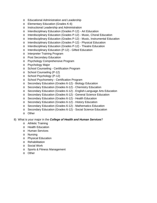- o Educational Administration and Leadership
- o Elementary Education (Grades K-6)
- o Instructional Leadership and Administration
- o Interdisciplinary Education (Grades P-12) Art Education
- o Interdisciplinary Education (Grades P-12) Music, Choral Education
- o Interdisciplinary Education (Grades P-12) Music, Instrumental Education
- o Interdisciplinary Education (Grades P-12) Physical Education
- o Interdisciplinary Education (Grades P-12) Theatre Education
- o Interdisciplinary Education (P-12) Gifted Education
- o Interpreter Training Program
- o Post Secondary Education
- o Psychology Comprehensive Program
- o Psychology Major
- o School Counseling Certification Program
- o School Counseling (P-12)
- o School Psychology (P-12)
- o School Psychometry Certification Program
- o Secondary Education (Grades 6-12) Biology Education
- o Secondary Education (Grades 6-12) Chemistry Education
- o Secondary Education (Grades 6-12) English-Language Arts Education
- o Secondary Education (Grades 6-12) General Science Education
- o Secondary Education (Grades 6-12) Health Education
- o Secondary Education (Grades 6-12) History Education
- o Secondary Education (Grades 6-12) Mathematics Education
- o Secondary Education (Grades 6-12) Social Science Education
- o Other

# 8) What is your major in the *College of Health and Human Services*?

- o Athletic Training
- o Health Education
- o Human Services
- o Nursing
- o Physical Education
- o Rehabilitation
- o Social Work
- o Sports & Fitness Management
- o Other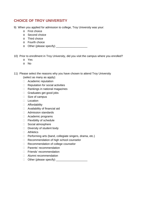# **CHOICE OF TROY UNIVERSITY**

- 9) When you applied for admission to college, Troy University was your:
	- o First choice
	- o Second choice
	- o Third choice
	- o Fourth choice
	- o Other (please specify) \_\_\_\_\_\_\_\_\_\_\_\_\_\_\_\_\_\_\_\_
- 10) Prior to enrollment in Troy University, did you visit the campus where you enrolled?
	- o Yes
	- o No
- 11) Please select the reasons why you have chosen to attend Troy University
	- (select as many as apply): Academic reputation
	- $\Box$  Reputation for social activities
	- $\Box$  Rankings in national magazines
	- Graduates get good jobs
	- □ Size of campus
	- □ Location
	- Affordability
	- □ Availability of financial aid
	- □ Admission standards
	- Academic programs
	- □ Flexibility of schedule
	- □ Social atmosphere
	- Diversity of student body
	- □ Athletics
	- $\Box$  Performing arts (band, collegiate singers, drama, etc.)
	- □ Recommendation of high school counselor
	- □ Recommendation of college counselor
	- □ Parents' recommendation
	- □ Friends' recommendation
	- **E** Alumni recommendation
	- Other (please specify) \_\_\_\_\_\_\_\_\_\_\_\_\_\_\_\_\_\_\_\_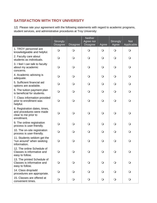# **SATISFACTION WITH TROY UNIVERSITY**

| <b>SATISFACTION WITH TROY UNIVERSITY</b>                                                                                                                              |                                    |                 |                                                |            |                   |                          |  |
|-----------------------------------------------------------------------------------------------------------------------------------------------------------------------|------------------------------------|-----------------|------------------------------------------------|------------|-------------------|--------------------------|--|
| 12) Please rate your agreement with the following statements with regard to academic programs,<br>student services, and administrative procedures at Troy University: |                                    |                 |                                                |            |                   |                          |  |
|                                                                                                                                                                       | <b>Strongly</b><br><b>Disagree</b> | <b>Disagree</b> | <b>Neither</b><br>Agree nor<br><b>Disagree</b> | Agree      | Strongly<br>Agree | <b>Not</b><br>Applicable |  |
| 1. TROY personnel are<br>knowledgeable and helpful.                                                                                                                   | $\bigcirc$                         | $\bigcirc$      | $\bigcirc$                                     | $\bigcirc$ | $\bigcirc$        | $\bigcirc$               |  |
| 2. Faculty care about<br>students as individuals.                                                                                                                     | $\bigcirc$                         | $\bigcirc$      | $\bigcirc$                                     | $\circ$    | $\bigcirc$        | $\bigcirc$               |  |
| 3. I feel I can talk to faculty<br>about my academic<br>concerns.                                                                                                     | $\bigcirc$                         | $\Omega$        | $\bigcirc$                                     | $\bigcirc$ | $\bigcirc$        | $\bigcirc$               |  |
| 4. Academic advising is<br>adequate.                                                                                                                                  | $\bigcirc$                         | $\Omega$        | $\bigcirc$                                     | $\Omega$   | $\bigcirc$        | $\bigcirc$               |  |
| 5. Sufficient financial aid<br>options are available.                                                                                                                 | $\bigcirc$                         | $\Omega$        | $\bigcirc$                                     | $\bigcirc$ | $\bigcirc$        | $\bigcirc$               |  |
| 6. The tuition payment plan<br>is beneficial for students.                                                                                                            | $\bigcirc$                         | $\Omega$        | $\bigcirc$                                     | $\bigcirc$ | $\bigcirc$        | $\bigcirc$               |  |
| 7. Class information provided<br>prior to enrollment was<br>helpful.                                                                                                  | $\bigcirc$                         | $\bigcirc$      | $\bigcirc$                                     | $\bigcirc$ | $\bigcirc$        | $\bigcirc$               |  |
| 8. Registration dates, times,<br>and procedures were made<br>clear to me prior to<br>enrollment.                                                                      | $\bigcirc$                         | $\Omega$        | $\bigcirc$                                     | $\bigcirc$ | $\bigcirc$        | $\bigcirc$               |  |
| 9. The online registration<br>process is user-friendly.                                                                                                               | $\bigcirc$                         | $\bigcirc$      | $\bigcirc$                                     | $\bigcirc$ | $\bigcirc$        | $\bigcirc$               |  |
| 10. The on-site registration<br>process is user-friendly.                                                                                                             | $\bigcirc$                         | $\bigcirc$      | $\bigcirc$                                     | $\circ$    | $\bigcirc$        | $\circ$                  |  |
| 11. Students seldom get the<br>"run around" when seeking<br>information.                                                                                              | $\bigcirc$                         | $\bigcirc$      | $\bigcirc$                                     | $\bigcirc$ | $\bigcirc$        | $\bigcirc$               |  |
| 12. The online Schedule of<br>Classes is informative and<br>easy to follow.                                                                                           | $\bigcirc$                         | $\circ$         | $\bigcirc$                                     | $\bigcirc$ | $\bigcirc$        | $\bigcirc$               |  |
| 13. The printed Schedule of<br>Classes is informative and<br>easy to follow.                                                                                          | $\bigcirc$                         | $\circ$         | $\bigcirc$                                     | $\bigcirc$ | $\bigcirc$        | $\bigcirc$               |  |
| 14. Class drop/add<br>procedures are appropriate.                                                                                                                     | $\bigcirc$                         | $\Omega$        | $\bigcirc$                                     | $\Omega$   | $\mathsf{O}$      | $\circ$                  |  |
| 15. Classes are offered at<br>convenient times.                                                                                                                       | $\bigcirc$                         | $\bigcirc$      | $\bigcirc$                                     | $\bigcirc$ | $\bigcirc$        | $\bigcirc$               |  |